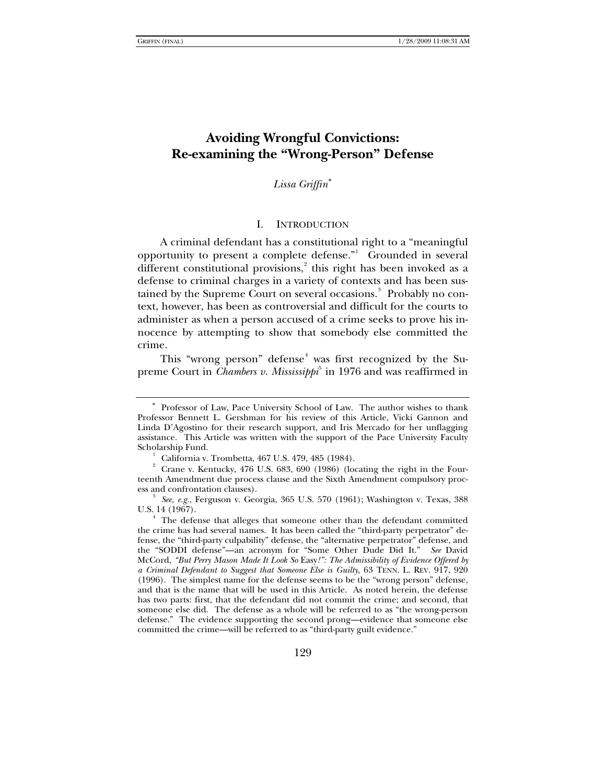# **Avoiding Wrongful Convictions: Re-examining the "Wrong-Person" Defense**

*Lissa Griffin*[∗](#page-0-0)

### I. INTRODUCTION

A criminal defendant has a constitutional right to a "meaningful opportunity to present a complete defense." Grounded in several different constitutional provisions,<sup>[2](#page-0-2)</sup> this right has been invoked as a defense to criminal charges in a variety of contexts and has been sus-tained by the Supreme Court on several occasions.<sup>[3](#page-0-3)</sup> Probably no context, however, has been as controversial and difficult for the courts to administer as when a person accused of a crime seeks to prove his innocence by attempting to show that somebody else committed the crime.

This "wrong person" defense<sup>[4](#page-0-4)</sup> was first recognized by the Supreme Court in *Chambers v. Mississippi*<sup>[5](#page-0-5)</sup> in 1976 and was reaffirmed in

<span id="page-0-0"></span>Professor of Law, Pace University School of Law. The author wishes to thank Professor Bennett L. Gershman for his review of this Article, Vicki Gannon and Linda D'Agostino for their research support, and Iris Mercado for her unflagging assistance. This Article was written with the support of the Pace University Faculty Scholarship Fund. 1

California v. Trombetta, 467 U.S. 479, 485 (1984). 2

<span id="page-0-2"></span><span id="page-0-1"></span>Crane v. Kentucky, 476 U.S. 683, 690 (1986) (locating the right in the Fourteenth Amendment due process clause and the Sixth Amendment compulsory process and confrontation clauses).

<span id="page-0-3"></span>*See, e.g.*, Ferguson v. Georgia, 365 U.S. 570 (1961); Washington v. Texas, 388 U.S. 14 (1967).

<span id="page-0-5"></span><span id="page-0-4"></span><sup>&</sup>lt;sup>1</sup> The defense that alleges that someone other than the defendant committed the crime has had several names. It has been called the "third-party perpetrator" defense, the "third-party culpability" defense, the "alternative perpetrator" defense, and the "SODDI defense"—an acronym for "Some Other Dude Did It." *See* David McCord, *"But Perry Mason Made It Look So* Easy*!": The Admissibility of Evidence Offered by a Criminal Defendant to Suggest that Someone Else is Guilty*, 63 TENN. L. REV. 917, 920 (1996). The simplest name for the defense seems to be the "wrong person" defense, and that is the name that will be used in this Article. As noted herein, the defense has two parts: first, that the defendant did not commit the crime; and second, that someone else did. The defense as a whole will be referred to as "the wrong-person defense." The evidence supporting the second prong—evidence that someone else committed the crime—will be referred to as "third-party guilt evidence."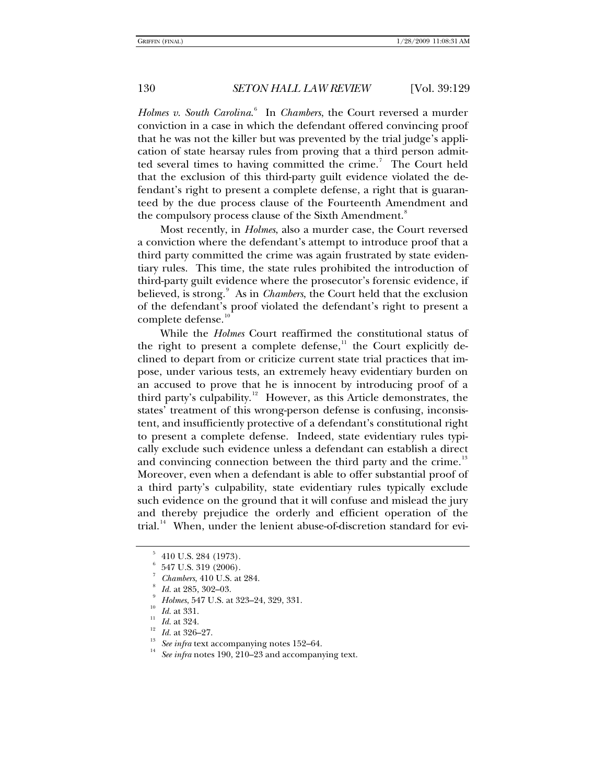*Holmes v*. *South Carolina*. [6](#page-1-0) In *Chambers*, the Court reversed a murder conviction in a case in which the defendant offered convincing proof that he was not the killer but was prevented by the trial judge's application of state hearsay rules from proving that a third person admit-ted several times to having committed the crime.<sup>[7](#page-1-1)</sup> The Court held that the exclusion of this third-party guilt evidence violated the defendant's right to present a complete defense, a right that is guaranteed by the due process clause of the Fourteenth Amendment and the compulsory process clause of the Sixth Amendment.<sup>[8](#page-1-2)</sup>

Most recently, in *Holmes*, also a murder case, the Court reversed a conviction where the defendant's attempt to introduce proof that a third party committed the crime was again frustrated by state evidentiary rules. This time, the state rules prohibited the introduction of third-party guilt evidence where the prosecutor's forensic evidence, if believed, is strong.<sup>[9](#page-1-3)</sup> As in *Chambers*, the Court held that the exclusion of the defendant's proof violated the defendant's right to present a complete defense.<sup>[10](#page-1-4)</sup>

While the *Holmes* Court reaffirmed the constitutional status of the right to present a complete defense, $1$  the Court explicitly declined to depart from or criticize current state trial practices that impose, under various tests, an extremely heavy evidentiary burden on an accused to prove that he is innocent by introducing proof of a third party's culpability. $12$  However, as this Article demonstrates, the states' treatment of this wrong-person defense is confusing, inconsistent, and insufficiently protective of a defendant's constitutional right to present a complete defense. Indeed, state evidentiary rules typically exclude such evidence unless a defendant can establish a direct and convincing connection between the third party and the crime.<sup>[13](#page-1-7)</sup> Moreover, even when a defendant is able to offer substantial proof of a third party's culpability, state evidentiary rules typically exclude such evidence on the ground that it will confuse and mislead the jury and thereby prejudice the orderly and efficient operation of the trial.<sup>[14](#page-1-8)</sup> When, under the lenient abuse-of-discretion standard for evi-

<sup>5</sup> 410 U.S. 284 (1973).

<span id="page-1-1"></span><span id="page-1-0"></span><sup>6</sup> 547 U.S. 319 (2006).

<sup>7</sup> *Chambers*, 410 U.S. at 284.

*Id.* at 285, 302–03.<br>*Holmes*, 547 U.S. at 323–24, 329, 331.

<span id="page-1-8"></span><span id="page-1-7"></span><span id="page-1-6"></span><span id="page-1-5"></span>

<span id="page-1-4"></span><span id="page-1-3"></span><span id="page-1-2"></span><sup>&</sup>lt;sup>10</sup> *Id.* at 331.<br>
<sup>12</sup> *Id.* at 324.<br>
<sup>12</sup> *Id.* at 324.<br>
<sup>12</sup> *Id.* at 326–27.<br>
<sup>13</sup> *See infra* text accompanying notes 152–64.<br>
<sup>14</sup> *See infra* notes 190, 210–23 and accompanying text.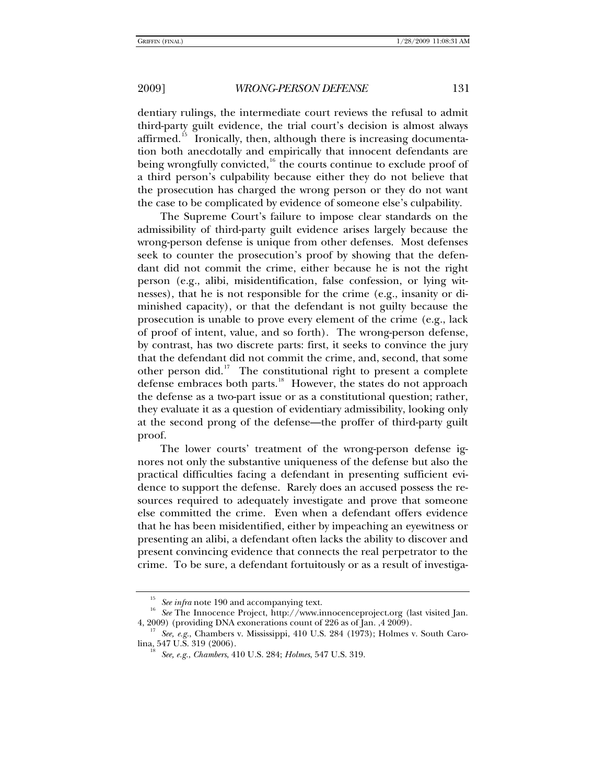dentiary rulings, the intermediate court reviews the refusal to admit third-party guilt evidence, the trial court's decision is almost always affirmed.<sup>[15](#page-2-0)</sup> Ironically, then, although there is increasing documentation both anecdotally and empirically that innocent defendants are being wrongfully convicted, $16$  the courts continue to exclude proof of a third person's culpability because either they do not believe that the prosecution has charged the wrong person or they do not want the case to be complicated by evidence of someone else's culpability.

The Supreme Court's failure to impose clear standards on the admissibility of third-party guilt evidence arises largely because the wrong-person defense is unique from other defenses. Most defenses seek to counter the prosecution's proof by showing that the defendant did not commit the crime, either because he is not the right person (e.g., alibi, misidentification, false confession, or lying witnesses), that he is not responsible for the crime (e.g., insanity or diminished capacity), or that the defendant is not guilty because the prosecution is unable to prove every element of the crime (e.g., lack of proof of intent, value, and so forth). The wrong-person defense, by contrast, has two discrete parts: first, it seeks to convince the jury that the defendant did not commit the crime, and, second, that some other person did.<sup>[17](#page-2-2)</sup> The constitutional right to present a complete defense embraces both parts.<sup>[18](#page-2-3)</sup> However, the states do not approach the defense as a two-part issue or as a constitutional question; rather, they evaluate it as a question of evidentiary admissibility, looking only at the second prong of the defense—the proffer of third-party guilt proof.

The lower courts' treatment of the wrong-person defense ignores not only the substantive uniqueness of the defense but also the practical difficulties facing a defendant in presenting sufficient evidence to support the defense. Rarely does an accused possess the resources required to adequately investigate and prove that someone else committed the crime. Even when a defendant offers evidence that he has been misidentified, either by impeaching an eyewitness or presenting an alibi, a defendant often lacks the ability to discover and present convincing evidence that connects the real perpetrator to the crime. To be sure, a defendant fortuitously or as a result of investiga-

<span id="page-2-0"></span><sup>&</sup>lt;sup>15</sup> See *infra* note 190 and accompanying text.<br><sup>16</sup> See The Innocence Project, http://www.innocenceproject.org (last visited Jan.

<span id="page-2-3"></span><span id="page-2-2"></span><span id="page-2-1"></span><sup>4, 2009) (</sup>providing DNA exonerations count of 226 as of Jan. ,4 2009).<br><sup>17</sup> *See, e.g.*, Chambers v. Mississippi, 410 U.S. 284 (1973); Holmes v. South Caro-<br>lina, 547 U.S. 319 (2006).

lina, 547 U.S. 319 (2006). 18 *See, e.g.*, *Chambers*, 410 U.S. 284; *Holmes*, 547 U.S. 319.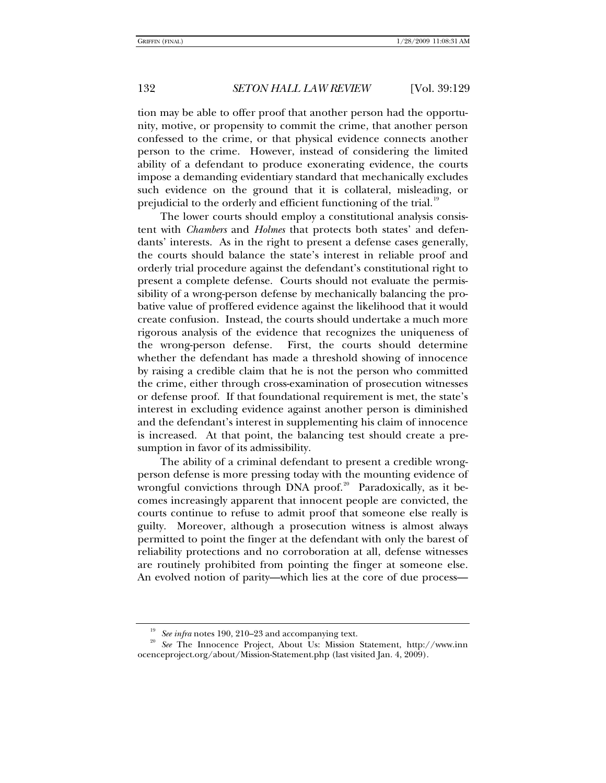tion may be able to offer proof that another person had the opportunity, motive, or propensity to commit the crime, that another person confessed to the crime, or that physical evidence connects another person to the crime. However, instead of considering the limited ability of a defendant to produce exonerating evidence, the courts impose a demanding evidentiary standard that mechanically excludes such evidence on the ground that it is collateral, misleading, or prejudicial to the orderly and efficient functioning of the trial.<sup>[19](#page-3-0)</sup>

The lower courts should employ a constitutional analysis consistent with *Chambers* and *Holmes* that protects both states' and defendants' interests. As in the right to present a defense cases generally, the courts should balance the state's interest in reliable proof and orderly trial procedure against the defendant's constitutional right to present a complete defense. Courts should not evaluate the permissibility of a wrong-person defense by mechanically balancing the probative value of proffered evidence against the likelihood that it would create confusion. Instead, the courts should undertake a much more rigorous analysis of the evidence that recognizes the uniqueness of the wrong-person defense. First, the courts should determine whether the defendant has made a threshold showing of innocence by raising a credible claim that he is not the person who committed the crime, either through cross-examination of prosecution witnesses or defense proof. If that foundational requirement is met, the state's interest in excluding evidence against another person is diminished and the defendant's interest in supplementing his claim of innocence is increased. At that point, the balancing test should create a presumption in favor of its admissibility.

The ability of a criminal defendant to present a credible wrongperson defense is more pressing today with the mounting evidence of wrongful convictions through DNA proof.<sup>[20](#page-3-1)</sup> Paradoxically, as it becomes increasingly apparent that innocent people are convicted, the courts continue to refuse to admit proof that someone else really is guilty. Moreover, although a prosecution witness is almost always permitted to point the finger at the defendant with only the barest of reliability protections and no corroboration at all, defense witnesses are routinely prohibited from pointing the finger at someone else. An evolved notion of parity—which lies at the core of due process—

<span id="page-3-1"></span><span id="page-3-0"></span><sup>&</sup>lt;sup>19</sup> See *infra* notes 190, 210–23 and accompanying text.<br><sup>20</sup> See The Innocence Project, About Us: Mission Statement, http://www.inn ocenceproject.org/about/Mission-Statement.php (last visited Jan. 4, 2009).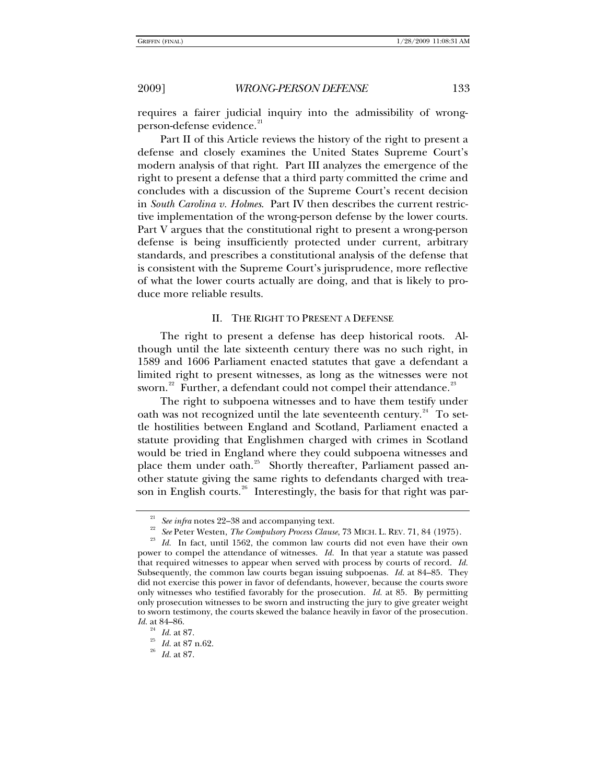requires a fairer judicial inquiry into the admissibility of wrong-person-defense evidence.<sup>[21](#page-4-0)</sup>

Part II of this Article reviews the history of the right to present a defense and closely examines the United States Supreme Court's modern analysis of that right. Part III analyzes the emergence of the right to present a defense that a third party committed the crime and concludes with a discussion of the Supreme Court's recent decision in *South Carolina v. Holmes*. Part IV then describes the current restrictive implementation of the wrong-person defense by the lower courts. Part V argues that the constitutional right to present a wrong-person defense is being insufficiently protected under current, arbitrary standards, and prescribes a constitutional analysis of the defense that is consistent with the Supreme Court's jurisprudence, more reflective of what the lower courts actually are doing, and that is likely to produce more reliable results.

### II. THE RIGHT TO PRESENT A DEFENSE

The right to present a defense has deep historical roots. Although until the late sixteenth century there was no such right, in 1589 and 1606 Parliament enacted statutes that gave a defendant a limited right to present witnesses, as long as the witnesses were not sworn.<sup>[22](#page-4-1)</sup> Further, a defendant could not compel their attendance.<sup>[23](#page-4-2)</sup>

The right to subpoena witnesses and to have them testify under oath was not recognized until the late seventeenth century.<sup>[24](#page-4-3)</sup> To settle hostilities between England and Scotland, Parliament enacted a statute providing that Englishmen charged with crimes in Scotland would be tried in England where they could subpoena witnesses and place them under oath.<sup>[25](#page-4-4)</sup> Shortly thereafter, Parliament passed another statute giving the same rights to defendants charged with trea-son in English courts.<sup>[26](#page-4-5)</sup> Interestingly, the basis for that right was par-

<span id="page-4-2"></span><span id="page-4-1"></span><span id="page-4-0"></span><sup>&</sup>lt;sup>21</sup> *See infra* notes 22–38 and accompanying text.<br><sup>22</sup> *See* Peter Westen, *The Compulsory Process Clause*, 73 MICH. L. REV. 71, 84 (1975).<br><sup>23</sup> *Id.* In fact, until 1562, the common law courts did not even have their o power to compel the attendance of witnesses. *Id.* In that year a statute was passed that required witnesses to appear when served with process by courts of record. *Id.* Subsequently, the common law courts began issuing subpoenas. *Id.* at 84–85. They did not exercise this power in favor of defendants, however, because the courts swore only witnesses who testified favorably for the prosecution. *Id.* at 85. By permitting only prosecution witnesses to be sworn and instructing the jury to give greater weight to sworn testimony, the courts skewed the balance heavily in favor of the prosecution*. Id.* at 84–86.

<span id="page-4-5"></span><span id="page-4-4"></span><span id="page-4-3"></span>

<sup>24</sup> *Id.* at 87. 25 *Id.* at 87 n.62. 26 *Id.* at 87.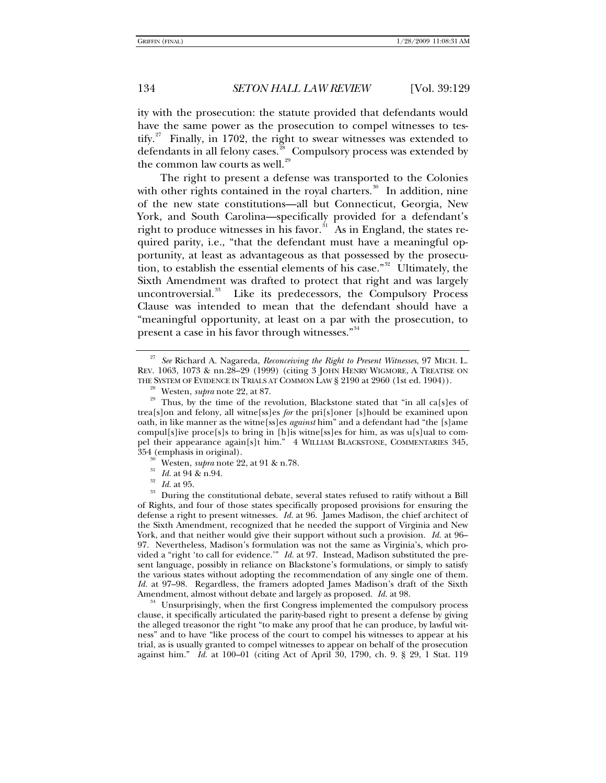ity with the prosecution: the statute provided that defendants would have the same power as the prosecution to compel witnesses to tes-tify.<sup>[27](#page-5-0)</sup> Finally, in 1702, the right to swear witnesses was extended to defendants in all felony cases.<sup>[28](#page-5-1)</sup> Compulsory process was extended by the common law courts as well.<sup>[29](#page-5-2)</sup>

The right to present a defense was transported to the Colonies with other rights contained in the royal charters.<sup>[30](#page-5-3)</sup> In addition, nine of the new state constitutions—all but Connecticut, Georgia, New York, and South Carolina—specifically provided for a defendant's right to produce witnesses in his favor.<sup> $\sin$ </sup> As in England, the states required parity, i.e., "that the defendant must have a meaningful opportunity, at least as advantageous as that possessed by the prosecution, to establish the essential elements of his case."[32](#page-5-5) Ultimately, the Sixth Amendment was drafted to protect that right and was largely uncontroversial.<sup>[33](#page-5-6)</sup> Like its predecessors, the Compulsory Process Clause was intended to mean that the defendant should have a "meaningful opportunity, at least on a par with the prosecution, to present a case in his favor through witnesses."<sup>[34](#page-5-7)</sup>

<span id="page-5-7"></span>clause, it specifically articulated the parity-based right to present a defense by giving the alleged treasonor the right "to make any proof that he can produce, by lawful witness" and to have "like process of the court to compel his witnesses to appear at his trial, as is usually granted to compel witnesses to appear on behalf of the prosecution against him." *Id.* at 100–01 (citing Act of April 30, 1790, ch. 9. § 29, 1 Stat. 119

<span id="page-5-0"></span><sup>27</sup> *See* Richard A. Nagareda, *Reconceiving the Right to Present Witnesses*, 97 MICH. L. REV. 1063, 1073 & nn.28–29 (1999) (citing 3 JOHN HENRY WIGMORE, A TREATISE ON THE SYSTEM OF EVIDENCE IN TRIALS AT COMMON LAW § 2190 at 2960 (1st ed. 1904)).

<span id="page-5-2"></span><span id="page-5-1"></span><sup>&</sup>lt;sup>28</sup> Westen, *supra* note 22, at 87. <sup>29</sup> Thus, by the time of the revolution, Blackstone stated that "in all ca[s]es of trea[s]on and felony, all witne[ss]es *for* the pri[s]oner [s]hould be examined upon oath, in like manner as the witne[ss]es *against* him" and a defendant had "the [s]ame compul[s]ive proce[s]s to bring in [h]is witne[ss]es for him, as was u[s]ual to compel their appearance again[s]t him." 4 WILLIAM BLACKSTONE, COMMENTARIES 345, 354 (emphasis in original).

<span id="page-5-6"></span><span id="page-5-5"></span><span id="page-5-4"></span><span id="page-5-3"></span><sup>&</sup>lt;sup>30</sup> Westen, *supra* note 22, at 91 & n.78.<br><sup>31</sup> *Id.* at 94 & n.94.<br><sup>32</sup> *Id.* at 95.<br><sup>33</sup> During the constitutional debate, several states refused to ratify without a Bill of Rights, and four of those states specifically proposed provisions for ensuring the defense a right to present witnesses. *Id.* at 96. James Madison, the chief architect of the Sixth Amendment, recognized that he needed the support of Virginia and New York, and that neither would give their support without such a provision. *Id.* at 96– 97. Nevertheless, Madison's formulation was not the same as Virginia's, which provided a "right 'to call for evidence.'" *Id.* at 97. Instead, Madison substituted the present language, possibly in reliance on Blackstone's formulations, or simply to satisfy the various states without adopting the recommendation of any single one of them. *Id.* at 97–98. Regardless, the framers adopted James Madison's draft of the Sixth Amendment, almost without debate and largely as proposed. *Id.* at 98.<br><sup>34</sup> Unsurprisingly, when the first Congress implemented the compulsory process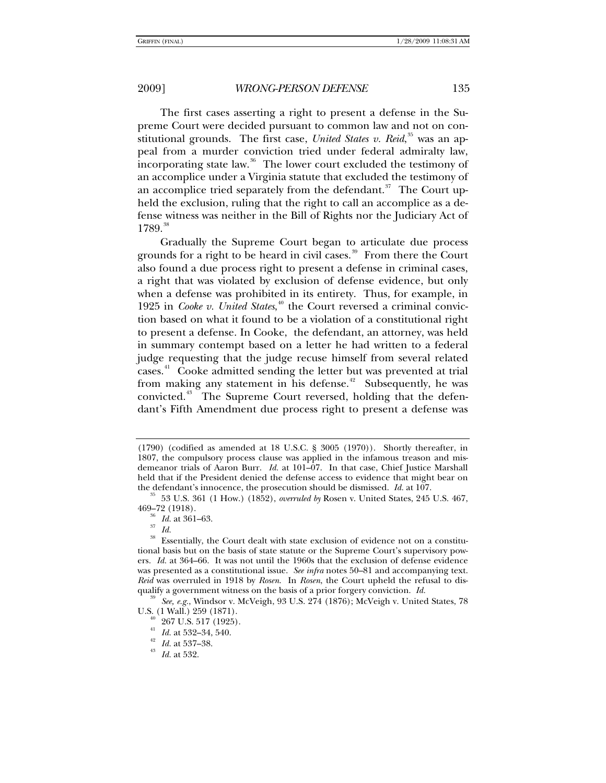The first cases asserting a right to present a defense in the Supreme Court were decided pursuant to common law and not on constitutional grounds. The first case, *United States v. Reid*, <sup>[35](#page-6-0)</sup> was an appeal from a murder conviction tried under federal admiralty law, incorporating state law.<sup>[36](#page-6-1)</sup> The lower court excluded the testimony of an accomplice under a Virginia statute that excluded the testimony of an accomplice tried separately from the defendant. $37$  The Court upheld the exclusion, ruling that the right to call an accomplice as a defense witness was neither in the Bill of Rights nor the Judiciary Act of 1789.<sup>[38](#page-6-3)</sup>

Gradually the Supreme Court began to articulate due process grounds for a right to be heard in civil cases.<sup>[39](#page-6-4)</sup> From there the Court also found a due process right to present a defense in criminal cases, a right that was violated by exclusion of defense evidence, but only when a defense was prohibited in its entirety. Thus, for example, in 1925 in *Cooke v. United States*,<sup>[40](#page-6-5)</sup> the Court reversed a criminal conviction based on what it found to be a violation of a constitutional right to present a defense. In Cooke, the defendant, an attorney, was held in summary contempt based on a letter he had written to a federal judge requesting that the judge recuse himself from several related cases.<sup>[41](#page-6-6)</sup> Cooke admitted sending the letter but was prevented at trial from making any statement in his defense.<sup> $42$ </sup> Subsequently, he was convicted.<sup>[43](#page-6-8)</sup> The Supreme Court reversed, holding that the defendant's Fifth Amendment due process right to present a defense was

<sup>(1790) (</sup>codified as amended at 18 U.S.C. § 3005 (1970)). Shortly thereafter, in 1807, the compulsory process clause was applied in the infamous treason and misdemeanor trials of Aaron Burr. *Id.* at 101-07. In that case, Chief Justice Marshall held that if the President denied the defense access to evidence that might bear on the defendant's innocence, the prosecution should be dismissed.  $Id$  at 107.

<span id="page-6-0"></span><sup>&</sup>lt;sup>35</sup> 53 U.S. 361 (1 How.) (1852), *overruled by* Rosen v. United States, 245 U.S. 467, 469–72 (1918).

 $\frac{36}{37}$  *Id.* at 361–63. *Id.* 

<span id="page-6-3"></span><span id="page-6-2"></span><span id="page-6-1"></span><sup>&</sup>lt;sup>38</sup> Essentially, the Court dealt with state exclusion of evidence not on a constitutional basis but on the basis of state statute or the Supreme Court's supervisory powers. *Id.* at 364–66. It was not until the 1960s that the exclusion of defense evidence was presented as a constitutional issue. *See infra* notes 50–81 and accompanying text. *Reid* was overruled in 1918 by *Rosen*. In *Rosen*, the Court upheld the refusal to dis-

<span id="page-6-7"></span><span id="page-6-6"></span><span id="page-6-5"></span><span id="page-6-4"></span>qualify a government witness on the basis of a prior forgery conviction. *Id.* <sup>39</sup> See, *e.g.*, Windsor v. McVeigh, 93 U.S. 274 (1876); McVeigh v. United States, 78 U.S. (1 Wall.) 259 (1871).

 $\frac{40}{41}$  267 U.S. 517 (1925).<br> *H.* at 532–34, 540.

<span id="page-6-8"></span><sup>41</sup> *Id.* at 532–34, 540. 42 *Id.* at 537–38. 43 *Id.* at 532.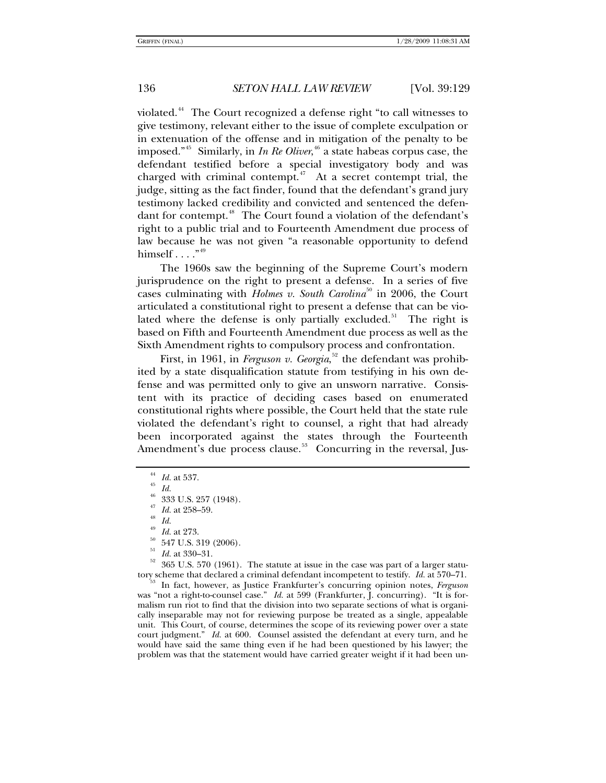violated.[44](#page-7-0) The Court recognized a defense right "to call witnesses to give testimony, relevant either to the issue of complete exculpation or in extenuation of the offense and in mitigation of the penalty to be imposed."[45](#page-7-1) Similarly, in *In Re Oliver*, [46](#page-7-2) a state habeas corpus case, the defendant testified before a special investigatory body and was charged with criminal contempt.<sup>[47](#page-7-3)</sup> At a secret contempt trial, the judge, sitting as the fact finder, found that the defendant's grand jury testimony lacked credibility and convicted and sentenced the defen-dant for contempt.<sup>[48](#page-7-4)</sup> The Court found a violation of the defendant's right to a public trial and to Fourteenth Amendment due process of law because he was not given "a reasonable opportunity to defend himself  $\ldots$ ."<sup>[49](#page-7-5)</sup>

The 1960s saw the beginning of the Supreme Court's modern jurisprudence on the right to present a defense. In a series of five cases culminating with *Holmes v. South Carolina*<sup>[50](#page-7-6)</sup> in 2006, the Court articulated a constitutional right to present a defense that can be vio-lated where the defense is only partially excluded.<sup>[51](#page-7-7)</sup> The right is based on Fifth and Fourteenth Amendment due process as well as the Sixth Amendment rights to compulsory process and confrontation.

First, in 1961, in *Ferguson v. Georgia*,<sup>[52](#page-7-8)</sup> the defendant was prohibited by a state disqualification statute from testifying in his own defense and was permitted only to give an unsworn narrative. Consistent with its practice of deciding cases based on enumerated constitutional rights where possible, the Court held that the state rule violated the defendant's right to counsel, a right that had already been incorporated against the states through the Fourteenth Amendment's due process clause.<sup>[53](#page-7-9)</sup> Concurring in the reversal, Jus-

- 
- 
- $\frac{50}{51}$  547 U.S. 319 (2006).
- 

<span id="page-7-8"></span><span id="page-7-7"></span><span id="page-7-6"></span><span id="page-7-5"></span><span id="page-7-4"></span><span id="page-7-3"></span><span id="page-7-2"></span>Id. at 330–31.<br>365 U.S. 570 (1961). The statute at issue in the case was part of a larger statutory scheme that declared a criminal defendant incompetent to testify. *Id.* at 570–71. 53 In fact, however, as Justice Frankfurter's concurring opinion notes, *Ferguson*

<span id="page-7-9"></span>was "not a right-to-counsel case." *Id.* at 599 (Frankfurter, J. concurring). "It is formalism run riot to find that the division into two separate sections of what is organically inseparable may not for reviewing purpose be treated as a single, appealable unit. This Court, of course, determines the scope of its reviewing power over a state court judgment." *Id.* at 600. Counsel assisted the defendant at every turn, and he would have said the same thing even if he had been questioned by his lawyer; the problem was that the statement would have carried greater weight if it had been un-

<span id="page-7-0"></span><sup>44</sup> *Id.* at 537. 45 *Id.*

<span id="page-7-1"></span> $^{46}$  333 U.S. 257 (1948).

<sup>&</sup>lt;sup>47</sup> *Id.* at 258–59.<br><sup>48</sup> *Id. Id.* at 273.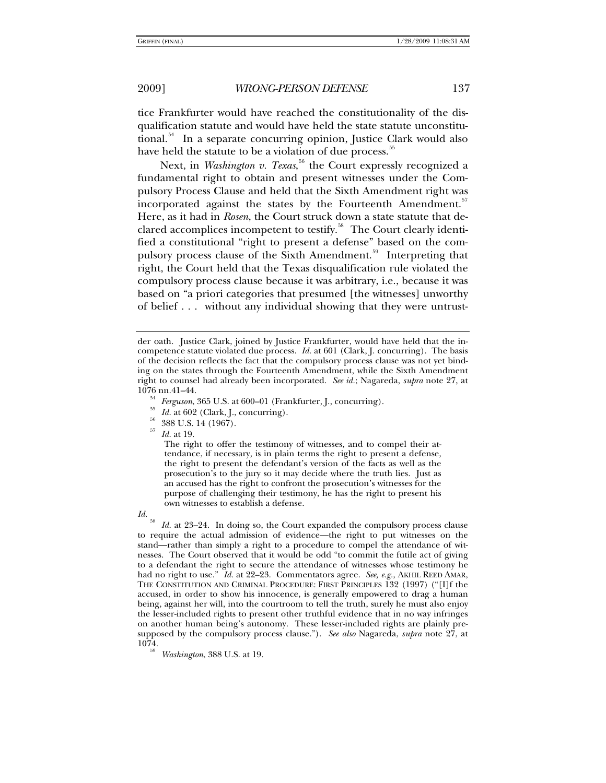tice Frankfurter would have reached the constitutionality of the disqualification statute and would have held the state statute unconstitu-tional.<sup>[54](#page-8-0)</sup> In a separate concurring opinion, Justice Clark would also have held the statute to be a violation of due process.<sup>[55](#page-8-1)</sup>

Next, in *Washington v. Texas*, [56](#page-8-2) the Court expressly recognized a fundamental right to obtain and present witnesses under the Compulsory Process Clause and held that the Sixth Amendment right was incorporated against the states by the Fourteenth Amendment.<sup>[57](#page-8-3)</sup> Here, as it had in *Rosen*, the Court struck down a state statute that de-clared accomplices incompetent to testify.<sup>[58](#page-8-4)</sup> The Court clearly identified a constitutional "right to present a defense" based on the com-pulsory process clause of the Sixth Amendment.<sup>[59](#page-8-5)</sup> Interpreting that right, the Court held that the Texas disqualification rule violated the compulsory process clause because it was arbitrary, i.e., because it was based on "a priori categories that presumed [the witnesses] unworthy of belief . . . without any individual showing that they were untrust-

- 
- 
- <sup>57</sup> *Id.* at 19.

The right to offer the testimony of witnesses, and to compel their attendance, if necessary, is in plain terms the right to present a defense, the right to present the defendant's version of the facts as well as the prosecution's to the jury so it may decide where the truth lies. Just as an accused has the right to confront the prosecution's witnesses for the purpose of challenging their testimony, he has the right to present his own witnesses to establish a defense.

<span id="page-8-4"></span>*Id.* <sup>58</sup> *Id.* at 23–24. In doing so, the Court expanded the compulsory process clause to require the actual admission of evidence—the right to put witnesses on the stand—rather than simply a right to a procedure to compel the attendance of witnesses. The Court observed that it would be odd "to commit the futile act of giving to a defendant the right to secure the attendance of witnesses whose testimony he had no right to use." *Id.* at 22–23. Commentators agree. *See, e.g.*, AKHIL REED AMAR, THE CONSTITUTION AND CRIMINAL PROCEDURE: FIRST PRINCIPLES 132 (1997) ("[I]f the accused, in order to show his innocence, is generally empowered to drag a human being, against her will, into the courtroom to tell the truth, surely he must also enjoy the lesser-included rights to present other truthful evidence that in no way infringes on another human being's autonomy. These lesser-included rights are plainly presupposed by the compulsory process clause."). *See also* Nagareda, *supra* note 27, at 1074. <sup>59</sup> *Washington*, 388 U.S. at 19.

der oath. Justice Clark, joined by Justice Frankfurter, would have held that the incompetence statute violated due process. *Id.* at 601 (Clark, J. concurring). The basis of the decision reflects the fact that the compulsory process clause was not yet binding on the states through the Fourteenth Amendment, while the Sixth Amendment right to counsel had already been incorporated. *See id.*; Nagareda, *supra* note 27, at

<span id="page-8-3"></span><span id="page-8-2"></span><span id="page-8-1"></span><span id="page-8-0"></span><sup>1076</sup> nn.41–44.<br><sup>54</sup> *Ferguson*, 365 U.S. at 600–01 (Frankfurter, J., concurring).<br><sup>55</sup> *Id.* at 602 (Clark, J., concurring).<br><sup>56</sup> 388 U.S. 14 (1967).

<span id="page-8-5"></span>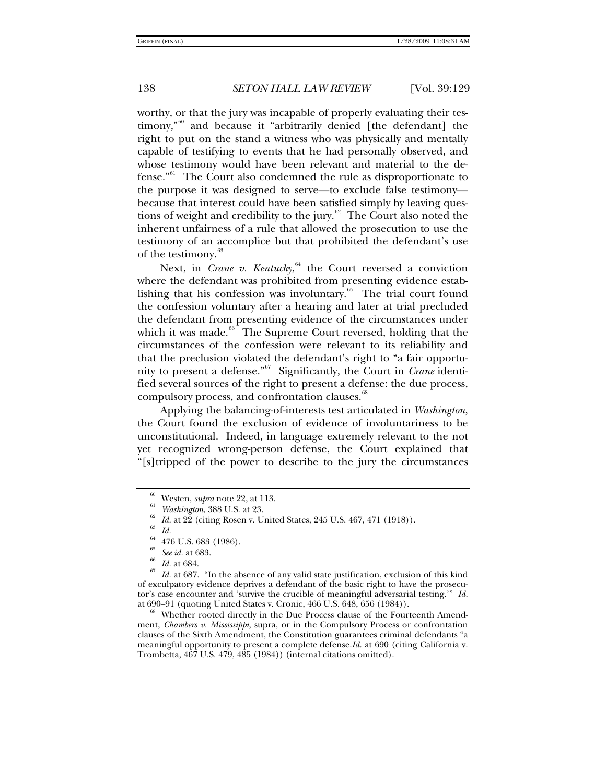worthy, or that the jury was incapable of properly evaluating their testimony,"[60](#page-9-0) and because it "arbitrarily denied [the defendant] the right to put on the stand a witness who was physically and mentally capable of testifying to events that he had personally observed, and whose testimony would have been relevant and material to the de-fense.<sup>"[61](#page-9-1)</sup> The Court also condemned the rule as disproportionate to the purpose it was designed to serve—to exclude false testimony because that interest could have been satisfied simply by leaving questions of weight and credibility to the jury. $62$  The Court also noted the inherent unfairness of a rule that allowed the prosecution to use the testimony of an accomplice but that prohibited the defendant's use of the testimony.<sup>[63](#page-9-3)</sup>

Next, in *Crane v. Kentucky*, <sup>[64](#page-9-4)</sup> the Court reversed a conviction where the defendant was prohibited from presenting evidence establishing that his confession was involuntary. $65$  The trial court found the confession voluntary after a hearing and later at trial precluded the defendant from presenting evidence of the circumstances under which it was made. $66$  The Supreme Court reversed, holding that the circumstances of the confession were relevant to its reliability and that the preclusion violated the defendant's right to "a fair opportunity to present a defense."[67](#page-9-7) Significantly, the Court in *Crane* identified several sources of the right to present a defense: the due process, compulsory process, and confrontation clauses.<sup>[68](#page-9-8)</sup>

Applying the balancing-of-interests test articulated in *Washington*, the Court found the exclusion of evidence of involuntariness to be unconstitutional. Indeed, in language extremely relevant to the not yet recognized wrong-person defense, the Court explained that "[s]tripped of the power to describe to the jury the circumstances

<span id="page-9-8"></span>ment, *Chambers v. Mississippi*, supra, or in the Compulsory Process or confrontation clauses of the Sixth Amendment, the Constitution guarantees criminal defendants "a meaningful opportunity to present a complete defense.*Id.* at 690 (citing California v. Trombetta, 467 U.S. 479, 485 (1984)) (internal citations omitted).

<sup>&</sup>lt;sup>60</sup> Westen, *supra* note 22, at 113.<br><sup>61</sup> *Washington*, 388 U.S. at 23.<br><sup>62</sup> *Id.* at 22 (citing Rosen v. United States, 245 U.S. 467, 471 (1918)).<br><sup>63</sup> *Id.* 

 $^{64}$  476 U.S. 683 (1986).

<span id="page-9-7"></span><span id="page-9-6"></span><span id="page-9-5"></span><span id="page-9-4"></span><span id="page-9-3"></span><span id="page-9-2"></span><span id="page-9-1"></span><span id="page-9-0"></span><sup>&</sup>lt;sup>65</sup> *See id.* at 683.<br><sup>66</sup> *Id.* at 684.<br><sup>67</sup> *Id.* at 687. "In the absence of any valid state justification, exclusion of this kind of exculpatory evidence deprives a defendant of the basic right to have the prosecutor's case encounter and 'survive the crucible of meaningful adversarial testing.'" *Id.* at 690–91 (quoting United States v. Cronic, 466 U.S. 648, 656 (1984)).<br><sup>68</sup> Whether rooted directly in the Due Process clause of the Fourteenth Amend-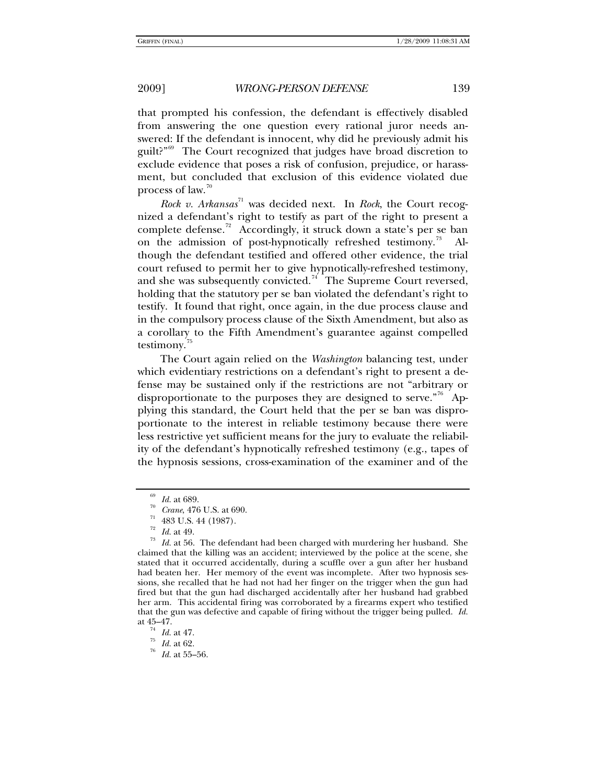that prompted his confession, the defendant is effectively disabled from answering the one question every rational juror needs answered: If the defendant is innocent, why did he previously admit his guilt?"<sup>[69](#page-10-0)</sup> The Court recognized that judges have broad discretion to exclude evidence that poses a risk of confusion, prejudice, or harassment, but concluded that exclusion of this evidence violated due process of law. $\frac{70}{2}$  $\frac{70}{2}$  $\frac{70}{2}$ 

*Rock v. Arkansas*[71](#page-10-2) was decided next. In *Rock*, the Court recognized a defendant's right to testify as part of the right to present a complete defense.<sup>[72](#page-10-3)</sup> Accordingly, it struck down a state's per se ban on the admission of post-hypnotically refreshed testimony.<sup>[73](#page-10-4)</sup> though the defendant testified and offered other evidence, the trial court refused to permit her to give hypnotically-refreshed testimony, and she was subsequently convicted.<sup>[74](#page-10-5)</sup> The Supreme Court reversed, holding that the statutory per se ban violated the defendant's right to testify. It found that right, once again, in the due process clause and in the compulsory process clause of the Sixth Amendment, but also as a corollary to the Fifth Amendment's guarantee against compelled testimony.<sup>[75](#page-10-6)</sup>

The Court again relied on the *Washington* balancing test, under which evidentiary restrictions on a defendant's right to present a defense may be sustained only if the restrictions are not "arbitrary or disproportionate to the purposes they are designed to serve."<sup>[76](#page-10-7)</sup> Applying this standard, the Court held that the per se ban was disproportionate to the interest in reliable testimony because there were less restrictive yet sufficient means for the jury to evaluate the reliability of the defendant's hypnotically refreshed testimony (e.g., tapes of the hypnosis sessions, cross-examination of the examiner and of the

<sup>&</sup>lt;sup>69</sup> Id. at 689.<br><sup>70</sup> Crane, 476 U.S. at 690.<br><sup>71</sup> 483 U.S. 44 (1987).<br>Id. at 49.

<span id="page-10-4"></span><span id="page-10-3"></span><span id="page-10-2"></span><span id="page-10-1"></span><span id="page-10-0"></span><sup>&</sup>lt;sup>73</sup> Id. at 56. The defendant had been charged with murdering her husband. She claimed that the killing was an accident; interviewed by the police at the scene, she stated that it occurred accidentally, during a scuffle over a gun after her husband had beaten her. Her memory of the event was incomplete. After two hypnosis sessions, she recalled that he had not had her finger on the trigger when the gun had fired but that the gun had discharged accidentally after her husband had grabbed her arm. This accidental firing was corroborated by a firearms expert who testified that the gun was defective and capable of firing without the trigger being pulled. *Id.*

<span id="page-10-7"></span><span id="page-10-6"></span>

<span id="page-10-5"></span>at 45–47. 74 *Id.* at 47. 75 *Id.* at 62. 76 *Id.* at 55–56.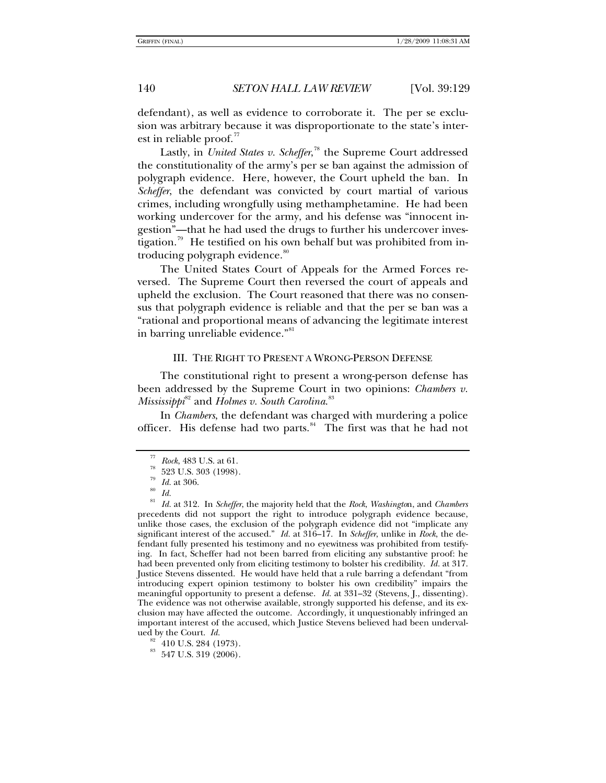defendant), as well as evidence to corroborate it. The per se exclusion was arbitrary because it was disproportionate to the state's interest in reliable proof. $\overline{7}$ 

Lastly, in *United States v. Scheffer*, [78](#page-11-1) the Supreme Court addressed the constitutionality of the army's per se ban against the admission of polygraph evidence. Here, however, the Court upheld the ban. In *Scheffer*, the defendant was convicted by court martial of various crimes, including wrongfully using methamphetamine. He had been working undercover for the army, and his defense was "innocent ingestion"—that he had used the drugs to further his undercover inves-tigation.<sup>[79](#page-11-2)</sup> He testified on his own behalf but was prohibited from in-troducing polygraph evidence.<sup>[80](#page-11-3)</sup>

The United States Court of Appeals for the Armed Forces reversed. The Supreme Court then reversed the court of appeals and upheld the exclusion. The Court reasoned that there was no consensus that polygraph evidence is reliable and that the per se ban was a "rational and proportional means of advancing the legitimate interest in barring unreliable evidence."<sup>[81](#page-11-4)</sup>

### III. THE RIGHT TO PRESENT A WRONG-PERSON DEFENSE

The constitutional right to present a wrong-person defense has been addressed by the Supreme Court in two opinions: *Chambers v. Mississippi*[82](#page-11-5) and *Holmes v. South Carolina*. [83](#page-11-6)

In *Chambers*, the defendant was charged with murdering a police officer. His defense had two parts.<sup>[84](#page-11-7)</sup> The first was that he had not

 $\frac{77}{78}$  *Rock*, 483 U.S. at 61.<br><sup>78</sup> 523 U.S. 303 (1998).

 $\frac{79}{80}$  *Id.* at 306.

<span id="page-11-7"></span><span id="page-11-4"></span><span id="page-11-3"></span><span id="page-11-2"></span><span id="page-11-1"></span><span id="page-11-0"></span><sup>81</sup> *Id.* at 312. In *Scheffer*, the majority held that the *Rock*, *Washingto*n, and *Chambers* precedents did not support the right to introduce polygraph evidence because, unlike those cases, the exclusion of the polygraph evidence did not "implicate any significant interest of the accused." *Id.* at 316–17. In *Scheffer*, unlike in *Rock*, the defendant fully presented his testimony and no eyewitness was prohibited from testifying. In fact, Scheffer had not been barred from eliciting any substantive proof: he had been prevented only from eliciting testimony to bolster his credibility. *Id.* at 317. Justice Stevens dissented. He would have held that a rule barring a defendant "from introducing expert opinion testimony to bolster his own credibility" impairs the meaningful opportunity to present a defense. *Id.* at 331–32 (Stevens, J., dissenting). The evidence was not otherwise available, strongly supported his defense, and its exclusion may have affected the outcome. Accordingly, it unquestionably infringed an important interest of the accused, which Justice Stevens believed had been undervalued by the Court.  $Id$ .

<sup>&</sup>lt;sup>82</sup> 410 U.S. 284 (1973).

<span id="page-11-6"></span><span id="page-11-5"></span> $^{\,83}$  547 U.S. 319 (2006).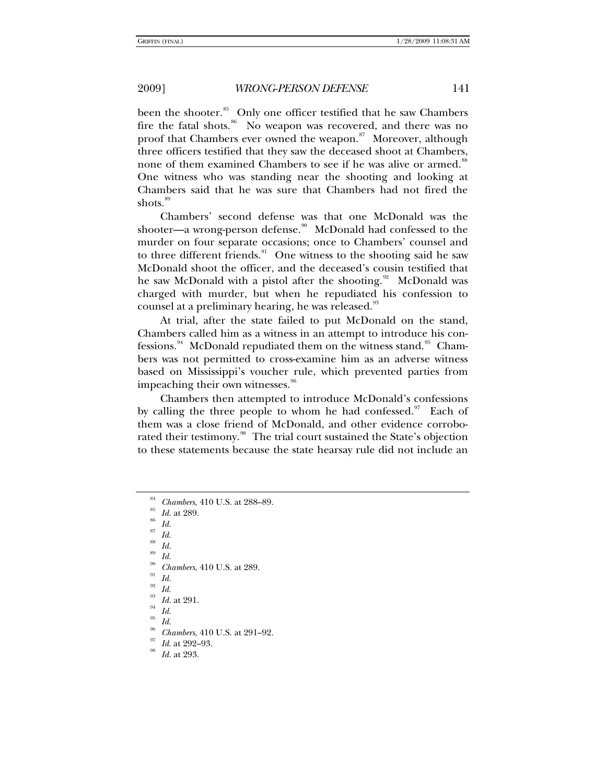been the shooter.<sup>[85](#page-12-0)</sup> Only one officer testified that he saw Chambers fire the fatal shots.<sup>[86](#page-12-1)</sup> No weapon was recovered, and there was no proof that Chambers ever owned the weapon.<sup>[87](#page-12-2)</sup> Moreover, although three officers testified that they saw the deceased shoot at Chambers, none of them examined Chambers to see if he was alive or armed.<sup>[88](#page-12-3)</sup> One witness who was standing near the shooting and looking at Chambers said that he was sure that Chambers had not fired the shots.<sup>[89](#page-12-4)</sup>

Chambers' second defense was that one McDonald was the shooter—a wrong-person defense.<sup>[90](#page-12-5)</sup> McDonald had confessed to the murder on four separate occasions; once to Chambers' counsel and to three different friends.<sup>[91](#page-12-6)</sup> One witness to the shooting said he saw McDonald shoot the officer, and the deceased's cousin testified that he saw McDonald with a pistol after the shooting.<sup>[92](#page-12-7)</sup> McDonald was charged with murder, but when he repudiated his confession to counsel at a preliminary hearing, he was released.<sup>[93](#page-12-8)</sup>

At trial, after the state failed to put McDonald on the stand, Chambers called him as a witness in an attempt to introduce his con-fessions.<sup>[94](#page-12-9)</sup> McDonald repudiated them on the witness stand.<sup>[95](#page-12-10)</sup> Chambers was not permitted to cross-examine him as an adverse witness based on Mississippi's voucher rule, which prevented parties from impeaching their own witnesses.<sup>[96](#page-12-11)</sup>

Chambers then attempted to introduce McDonald's confessions by calling the three people to whom he had confessed. $97$  Each of them was a close friend of McDonald, and other evidence corrobo-rated their testimony.<sup>[98](#page-12-13)</sup> The trial court sustained the State's objection to these statements because the state hearsay rule did not include an

<sup>87</sup> *Id.*

<sup>88</sup> *Id.*

<span id="page-12-3"></span><span id="page-12-2"></span><sup>89</sup> *Id.*

<span id="page-12-6"></span><span id="page-12-5"></span><span id="page-12-4"></span><sup>90</sup> Chambers, 410 U.S. at 289.<br><sup>91</sup> Id.

<span id="page-12-7"></span> $\frac{92}{93}$  *Id.* 

*Id.* at 291.

<span id="page-12-11"></span><span id="page-12-10"></span><span id="page-12-9"></span><span id="page-12-8"></span>

<sup>95</sup> *Id.*

*Chambers*, 410 U.S. at 291–92.<br>*Id.* at 292–93.<br>*Id.* at 293.

<span id="page-12-13"></span><span id="page-12-12"></span>

<span id="page-12-1"></span><span id="page-12-0"></span>*Chambers*, 410 U.S. at 288–89.<br>*Id.* at 289.<br>*Id.*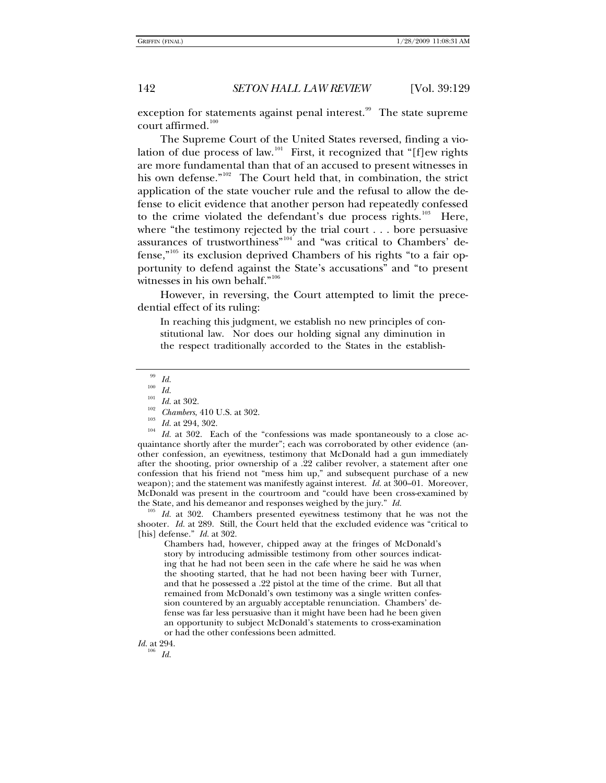exception for statements against penal interest.<sup>[99](#page-13-0)</sup> The state supreme court affirmed.<sup>[100](#page-13-1)</sup>

The Supreme Court of the United States reversed, finding a vio-lation of due process of law.<sup>[101](#page-13-2)</sup> First, it recognized that "[f]ew rights are more fundamental than that of an accused to present witnesses in his own defense."<sup>[102](#page-13-3)</sup> The Court held that, in combination, the strict application of the state voucher rule and the refusal to allow the defense to elicit evidence that another person had repeatedly confessed to the crime violated the defendant's due process rights.<sup>[103](#page-13-4)</sup> Here, where "the testimony rejected by the trial court . . . bore persuasive assurances of trustworthiness"<sup>[104](#page-13-5)</sup> and "was critical to Chambers' de-fense,"<sup>[105](#page-13-6)</sup> its exclusion deprived Chambers of his rights "to a fair opportunity to defend against the State's accusations" and "to present witnesses in his own behalf."<sup>[106](#page-13-7)</sup>

However, in reversing, the Court attempted to limit the precedential effect of its ruling:

In reaching this judgment, we establish no new principles of constitutional law. Nor does our holding signal any diminution in the respect traditionally accorded to the States in the establish-

<span id="page-13-4"></span><span id="page-13-3"></span><span id="page-13-2"></span><span id="page-13-1"></span><span id="page-13-0"></span><sup>99</sup> *Id.*<br><sup>100</sup> *Id. Id.* at 302.<br><sup>102</sup> *Chambers*, 410 U.S. at 302.<br><sup>103</sup> *Id.* at 294, 302.<br><sup>104</sup> *Id.* at 302. Each of the "confessions was made spontaneously to a close acquaintance shortly after the murder"; each was corroborated by other evidence (another confession, an eyewitness, testimony that McDonald had a gun immediately after the shooting, prior ownership of a .22 caliber revolver, a statement after one confession that his friend not "mess him up," and subsequent purchase of a new weapon); and the statement was manifestly against interest. *Id.* at 300–01. Moreover, McDonald was present in the courtroom and "could have been cross-examined by the State, and his demeanor and responses weighed by the jury." *Id.* <sup>105</sup> *Id.* at 302. Chambers presented evewitness testimony that he was not the

<span id="page-13-6"></span>shooter. *Id.* at 289. Still, the Court held that the excluded evidence was "critical to [his] defense." *Id.* at 302.

Chambers had, however, chipped away at the fringes of McDonald's story by introducing admissible testimony from other sources indicating that he had not been seen in the cafe where he said he was when the shooting started, that he had not been having beer with Turner, and that he possessed a .22 pistol at the time of the crime. But all that remained from McDonald's own testimony was a single written confession countered by an arguably acceptable renunciation. Chambers' defense was far less persuasive than it might have been had he been given an opportunity to subject McDonald's statements to cross-examination or had the other confessions been admitted.

<span id="page-13-7"></span>*Id.* at 294.

<sup>106</sup> *Id.*

<span id="page-13-5"></span>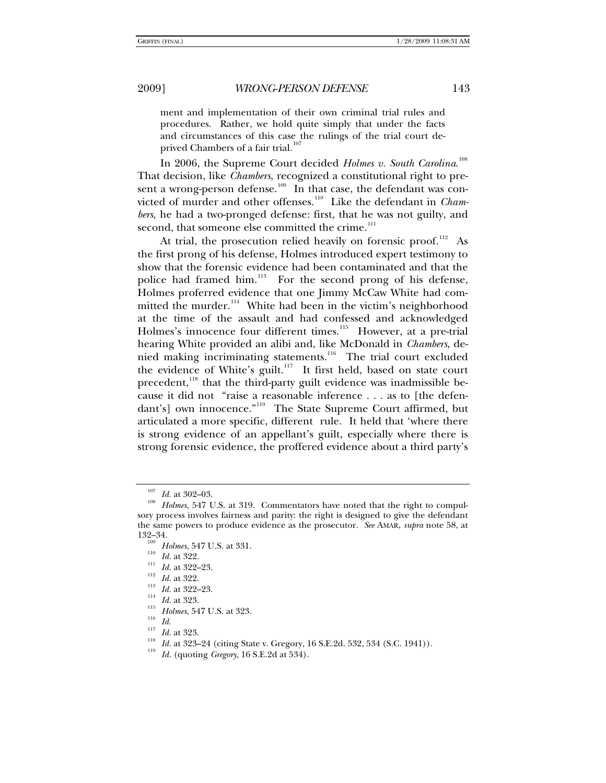ment and implementation of their own criminal trial rules and procedures. Rather, we hold quite simply that under the facts and circumstances of this case the rulings of the trial court deprived Chambers of a fair trial.<sup>10</sup>

In 2006, the Supreme Court decided Holmes v. South Carolina.<sup>[108](#page-14-1)</sup> That decision, like *Chambers*, recognized a constitutional right to pre-sent a wrong-person defense.<sup>[109](#page-14-2)</sup> In that case, the defendant was con-victed of murder and other offenses.<sup>[110](#page-14-3)</sup> Like the defendant in *Chambers*, he had a two-pronged defense: first, that he was not guilty, and second, that someone else committed the crime.<sup>[111](#page-14-4)</sup>

At trial, the prosecution relied heavily on forensic proof.<sup>[112](#page-14-5)</sup> As the first prong of his defense, Holmes introduced expert testimony to show that the forensic evidence had been contaminated and that the police had framed him.<sup>[113](#page-14-6)</sup> For the second prong of his defense, Holmes proferred evidence that one Jimmy McCaw White had committed the murder. $114$  White had been in the victim's neighborhood at the time of the assault and had confessed and acknowledged Holmes's innocence four different times.<sup>[115](#page-14-8)</sup> However, at a pre-trial hearing White provided an alibi and, like McDonald in *Chambers*, de-nied making incriminating statements.<sup>[116](#page-14-9)</sup> The trial court excluded the evidence of White's guilt.<sup>[117](#page-14-10)</sup> It first held, based on state court precedent,<sup>[118](#page-14-11)</sup> that the third-party guilt evidence was inadmissible because it did not "raise a reasonable inference . . . as to [the defen-dant's] own innocence."<sup>[119](#page-14-12)</sup> The State Supreme Court affirmed, but articulated a more specific, different rule. It held that 'where there is strong evidence of an appellant's guilt, especially where there is strong forensic evidence, the proffered evidence about a third party's

<span id="page-14-1"></span><span id="page-14-0"></span><sup>&</sup>lt;sup>107</sup> *Id.* at 302–03.<br><sup>108</sup> *Holmes*, 547 U.S. at 319. Commentators have noted that the right to compulsory process involves fairness and parity: the right is designed to give the defendant the same powers to produce evidence as the prosecutor. *See* AMAR, *supra* note 58, at

<span id="page-14-8"></span><span id="page-14-7"></span><span id="page-14-6"></span>

<span id="page-14-9"></span>

<span id="page-14-12"></span><span id="page-14-11"></span><span id="page-14-10"></span>

<span id="page-14-5"></span><span id="page-14-4"></span><span id="page-14-3"></span><span id="page-14-2"></span><sup>132–34.&</sup>lt;br>
<sup>109</sup> *Holmes*, 547 U.S. at 331.<br>
<sup>110</sup> *Id.* at 322.<br>
<sup>112</sup> *Id.* at 322–23.<br>
<sup>113</sup> *Id.* at 322–23.<br>
<sup>114</sup> *Id.* at 323.<br>
<sup>115</sup> *Holmes*, 547 U.S. at 323.<br>
<sup>115</sup> *Id.*<br>
<sup>117</sup> *Id.* at 323.<br>
<sup>116</sup> *Id.* at 323.<br>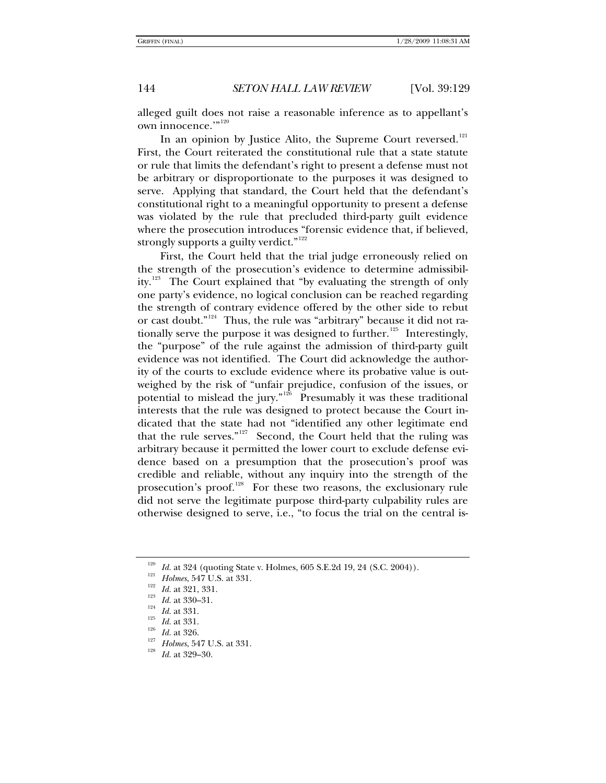alleged guilt does not raise a reasonable inference as to appellant's own innocence.'"<sup>[120](#page-15-0)</sup>

In an opinion by Justice Alito, the Supreme Court reversed. $121$ First, the Court reiterated the constitutional rule that a state statute or rule that limits the defendant's right to present a defense must not be arbitrary or disproportionate to the purposes it was designed to serve. Applying that standard, the Court held that the defendant's constitutional right to a meaningful opportunity to present a defense was violated by the rule that precluded third-party guilt evidence where the prosecution introduces "forensic evidence that, if believed, strongly supports a guilty verdict." $122$ 

First, the Court held that the trial judge erroneously relied on the strength of the prosecution's evidence to determine admissibil-ity.<sup>[123](#page-15-3)</sup> The Court explained that "by evaluating the strength of only one party's evidence, no logical conclusion can be reached regarding the strength of contrary evidence offered by the other side to rebut or cast doubt."[124](#page-15-4) Thus, the rule was "arbitrary" because it did not ra-tionally serve the purpose it was designed to further.<sup>[125](#page-15-5)</sup> Interestingly, the "purpose" of the rule against the admission of third-party guilt evidence was not identified. The Court did acknowledge the authority of the courts to exclude evidence where its probative value is outweighed by the risk of "unfair prejudice, confusion of the issues, or potential to mislead the jury."<sup>[126](#page-15-6)</sup> Presumably it was these traditional interests that the rule was designed to protect because the Court indicated that the state had not "identified any other legitimate end that the rule serves."<sup>[127](#page-15-7)</sup> Second, the Court held that the ruling was arbitrary because it permitted the lower court to exclude defense evidence based on a presumption that the prosecution's proof was credible and reliable, without any inquiry into the strength of the prosecution's proof.<sup>[128](#page-15-8)</sup> For these two reasons, the exclusionary rule did not serve the legitimate purpose third-party culpability rules are otherwise designed to serve, i.e., "to focus the trial on the central is-

<span id="page-15-0"></span><sup>&</sup>lt;sup>120</sup> *Id.* at 324 (quoting State v. Holmes, 605 S.E.2d 19, 24 (S.C. 2004)).<br><sup>121</sup> *Holmes*, 547 U.S. at 331.<br><sup>122</sup> *Id.* at 321, 331.<br><sup>123</sup> *Id.* at 330–31.<br><sup>124</sup> *Id.* at 331.<br><sup>125</sup> *Id.* at 331.<br><sup>125</sup> *Id.* at 331.<br><sup>12</sup>

<span id="page-15-2"></span><span id="page-15-1"></span>

<span id="page-15-4"></span><span id="page-15-3"></span>

<span id="page-15-8"></span><span id="page-15-7"></span><span id="page-15-6"></span><span id="page-15-5"></span>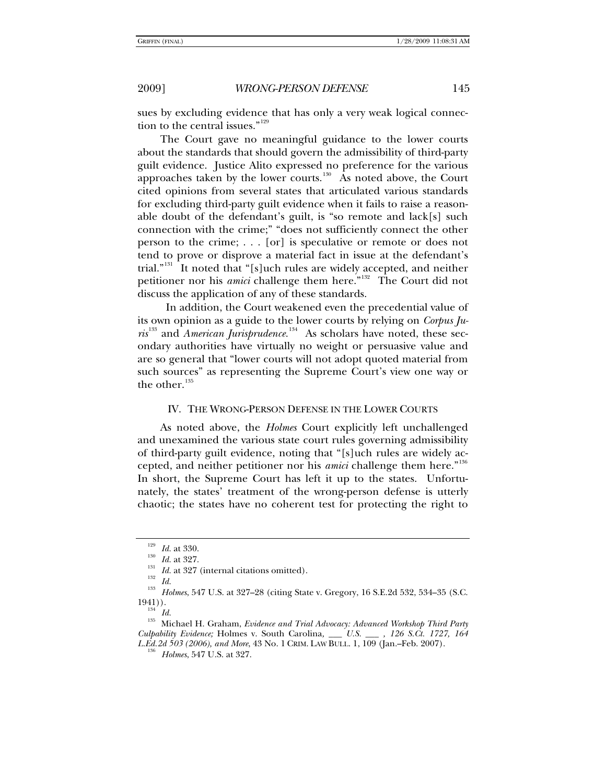sues by excluding evidence that has only a very weak logical connec-tion to the central issues."<sup>[129](#page-16-0)</sup>

The Court gave no meaningful guidance to the lower courts about the standards that should govern the admissibility of third-party guilt evidence. Justice Alito expressed no preference for the various approaches taken by the lower courts.<sup>[130](#page-16-1)</sup> As noted above, the Court cited opinions from several states that articulated various standards for excluding third-party guilt evidence when it fails to raise a reasonable doubt of the defendant's guilt, is "so remote and lack[s] such connection with the crime;" "does not sufficiently connect the other person to the crime; . . . [or] is speculative or remote or does not tend to prove or disprove a material fact in issue at the defendant's trial."[131](#page-16-2) It noted that "[s]uch rules are widely accepted, and neither petitioner nor his *amici* challenge them here."<sup>[132](#page-16-3)</sup> The Court did not discuss the application of any of these standards.

 In addition, the Court weakened even the precedential value of its own opinion as a guide to the lower courts by relying on *Corpus Juris*<sup>[133](#page-16-4)</sup> and *American Jurisprudence*.<sup>[134](#page-16-5)</sup> As scholars have noted, these secondary authorities have virtually no weight or persuasive value and are so general that "lower courts will not adopt quoted material from such sources" as representing the Supreme Court's view one way or the other. $135$ 

### IV. THE WRONG-PERSON DEFENSE IN THE LOWER COURTS

As noted above, the *Holmes* Court explicitly left unchallenged and unexamined the various state court rules governing admissibility of third-party guilt evidence, noting that "[s]uch rules are widely accepted, and neither petitioner nor his *amici* challenge them here."<sup>[136](#page-16-7)</sup> In short, the Supreme Court has left it up to the states. Unfortunately, the states' treatment of the wrong-person defense is utterly chaotic; the states have no coherent test for protecting the right to

<span id="page-16-2"></span><span id="page-16-1"></span><span id="page-16-0"></span><sup>&</sup>lt;sup>129</sup> *Id.* at 330.<br><sup>130</sup> *Id.* at 327.<br><sup>131</sup> *Id.* at 327 (internal citations omitted).<br><sup>132</sup> *Id.*<br><sup>133</sup> *Holmes*, 547 U.S. at 327–28 (citing State v. Gregory, 16 S.E.2d 532, 534–35 (S.C.<br>1941)).

<span id="page-16-7"></span><span id="page-16-6"></span><span id="page-16-5"></span><span id="page-16-4"></span><span id="page-16-3"></span><sup>&</sup>lt;sup>134</sup> Id.<br><sup>135</sup> Michael H. Graham, *Evidence and Trial Advocacy: Advanced Workshop Third Party Culpability Evidence;* Holmes v. South Carolina*, \_\_\_ U.S. \_\_\_ , 126 S.Ct. 1727, 164 L.Ed.2d 503 (2006), and More*, 43 No. 1 CRIM. LAW BULL. 1, 109 (Jan.–Feb. 2007). 136 *Holmes*, 547 U.S. at 327.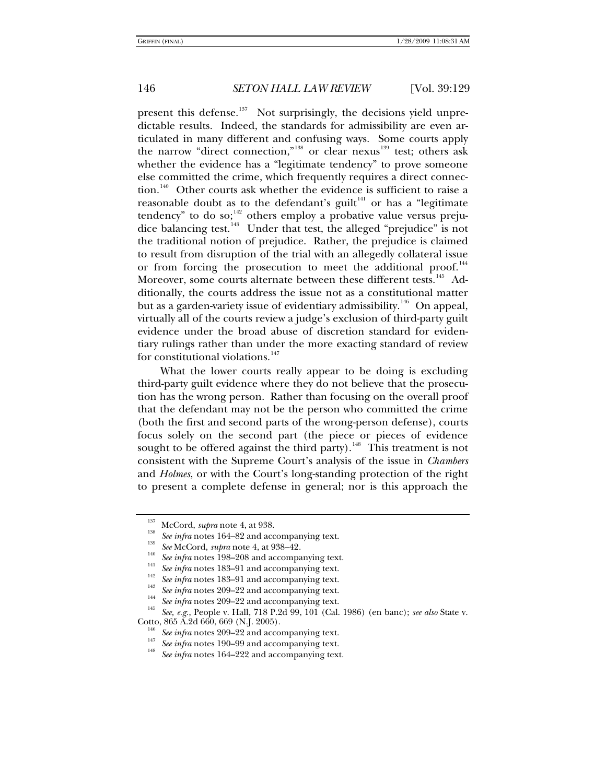present this defense.<sup>[137](#page-17-0)</sup> Not surprisingly, the decisions yield unpredictable results. Indeed, the standards for admissibility are even articulated in many different and confusing ways. Some courts apply the narrow "direct connection,"<sup>[138](#page-17-1)</sup> or clear nexus<sup>[139](#page-17-2)</sup> test; others ask whether the evidence has a "legitimate tendency" to prove someone else committed the crime, which frequently requires a direct connec-tion.<sup>[140](#page-17-3)</sup> Other courts ask whether the evidence is sufficient to raise a reasonable doubt as to the defendant's guilt $141$  or has a "legitimate tendency" to do so; $142$  others employ a probative value versus preju-dice balancing test.<sup>[143](#page-17-6)</sup> Under that test, the alleged "prejudice" is not the traditional notion of prejudice. Rather, the prejudice is claimed to result from disruption of the trial with an allegedly collateral issue or from forcing the prosecution to meet the additional proof.<sup>[144](#page-17-7)</sup> Moreover, some courts alternate between these different tests.<sup>[145](#page-17-8)</sup> Additionally, the courts address the issue not as a constitutional matter but as a garden-variety issue of evidentiary admissibility.<sup>[146](#page-17-9)</sup> On appeal, virtually all of the courts review a judge's exclusion of third-party guilt evidence under the broad abuse of discretion standard for evidentiary rulings rather than under the more exacting standard of review for constitutional violations.<sup>[147](#page-17-10)</sup>

What the lower courts really appear to be doing is excluding third-party guilt evidence where they do not believe that the prosecution has the wrong person. Rather than focusing on the overall proof that the defendant may not be the person who committed the crime (both the first and second parts of the wrong-person defense), courts focus solely on the second part (the piece or pieces of evidence sought to be offered against the third party).<sup>[148](#page-17-11)</sup> This treatment is not consistent with the Supreme Court's analysis of the issue in *Chambers* and *Holmes*, or with the Court's long-standing protection of the right to present a complete defense in general; nor is this approach the

<span id="page-17-6"></span>

<span id="page-17-8"></span><span id="page-17-7"></span>

<span id="page-17-5"></span><span id="page-17-4"></span><span id="page-17-3"></span><span id="page-17-2"></span><span id="page-17-1"></span><span id="page-17-0"></span><sup>&</sup>lt;sup>137</sup> McCord, *supra* note 4, at 938.<br>
<sup>138</sup> See infra notes 164–82 and accompanying text.<br>
<sup>139</sup> See McCord, *supra* note 4, at 938–42.<br>
<sup>140</sup> See infra notes 198–208 and accompanying text.<br>
<sup>141</sup> See infra notes 183–91 Cotto, 865 A.2d 660, 669 (N.J. 2005). 146 *See infra* notes 209–22 and accompanying text. 147 *See infra* notes 190–99 and accompanying text. 148 *See infra* notes 164–222 and accompanying text.

<span id="page-17-11"></span><span id="page-17-10"></span><span id="page-17-9"></span>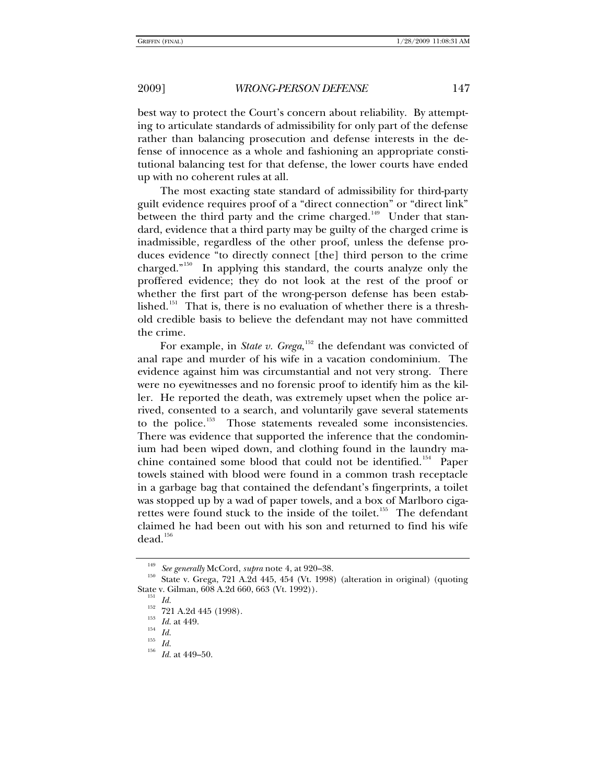best way to protect the Court's concern about reliability. By attempting to articulate standards of admissibility for only part of the defense rather than balancing prosecution and defense interests in the defense of innocence as a whole and fashioning an appropriate constitutional balancing test for that defense, the lower courts have ended up with no coherent rules at all.

The most exacting state standard of admissibility for third-party guilt evidence requires proof of a "direct connection" or "direct link" between the third party and the crime charged.<sup>[149](#page-18-0)</sup> Under that standard, evidence that a third party may be guilty of the charged crime is inadmissible, regardless of the other proof, unless the defense produces evidence "to directly connect [the] third person to the crime charged."[150](#page-18-1) In applying this standard, the courts analyze only the proffered evidence; they do not look at the rest of the proof or whether the first part of the wrong-person defense has been estab-lished.<sup>[151](#page-18-2)</sup> That is, there is no evaluation of whether there is a threshold credible basis to believe the defendant may not have committed the crime.

For example, in *State v. Grega*,<sup>[152](#page-18-3)</sup> the defendant was convicted of anal rape and murder of his wife in a vacation condominium. The evidence against him was circumstantial and not very strong. There were no eyewitnesses and no forensic proof to identify him as the killer. He reported the death, was extremely upset when the police arrived, consented to a search, and voluntarily gave several statements to the police.<sup>[153](#page-18-4)</sup> Those statements revealed some inconsistencies. There was evidence that supported the inference that the condominium had been wiped down, and clothing found in the laundry ma-chine contained some blood that could not be identified.<sup>[154](#page-18-5)</sup> Paper towels stained with blood were found in a common trash receptacle in a garbage bag that contained the defendant's fingerprints, a toilet was stopped up by a wad of paper towels, and a box of Marlboro ciga-rettes were found stuck to the inside of the toilet.<sup>[155](#page-18-6)</sup> The defendant claimed he had been out with his son and returned to find his wife dead.<sup>[156](#page-18-7)</sup>

<span id="page-18-3"></span><span id="page-18-2"></span><span id="page-18-1"></span><span id="page-18-0"></span><sup>&</sup>lt;sup>149</sup> See generally McCord, *supra* note 4, at 920–38.<br><sup>150</sup> State v. Grega, 721 A.2d 445, 454 (Vt. 1998) (alteration in original) (quoting State v. Gilman, 608 A.2d 660, 663 (Vt. 1992)).<br>
<sup>151</sup> *Id.*<br>
<sup>152</sup> 721 A.2d 445 (1998).<br>
<sup>153</sup> *Id.* at 449.<br>
<sup>154</sup> *Id.*<br>
<sup>155</sup> *Id.* at 449–50.

<span id="page-18-7"></span><span id="page-18-6"></span><span id="page-18-5"></span><span id="page-18-4"></span>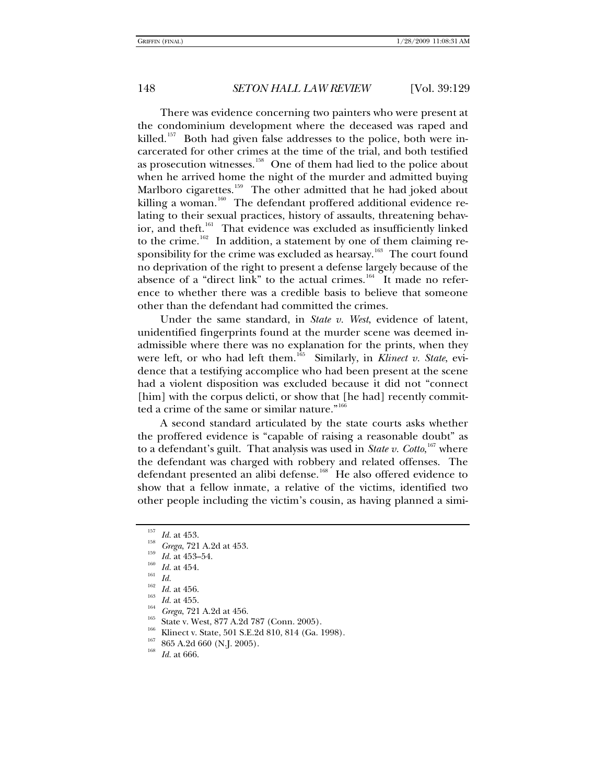There was evidence concerning two painters who were present at the condominium development where the deceased was raped and killed.<sup>[157](#page-19-0)</sup> Both had given false addresses to the police, both were incarcerated for other crimes at the time of the trial, and both testified as prosecution witnesses.<sup>[158](#page-19-1)</sup> One of them had lied to the police about when he arrived home the night of the murder and admitted buying Marlboro cigarettes.<sup>[159](#page-19-2)</sup> The other admitted that he had joked about killing a woman.<sup>[160](#page-19-3)</sup> The defendant proffered additional evidence relating to their sexual practices, history of assaults, threatening behav-ior, and theft.<sup>[161](#page-19-4)</sup> That evidence was excluded as insufficiently linked to the crime.<sup>[162](#page-19-5)</sup> In addition, a statement by one of them claiming re-sponsibility for the crime was excluded as hearsay.<sup>[163](#page-19-6)</sup> The court found no deprivation of the right to present a defense largely because of the absence of a "direct link" to the actual crimes.<sup>[164](#page-19-7)</sup> It made no reference to whether there was a credible basis to believe that someone other than the defendant had committed the crimes.

Under the same standard, in *State v. West*, evidence of latent, unidentified fingerprints found at the murder scene was deemed inadmissible where there was no explanation for the prints, when they were left, or who had left them.<sup>[165](#page-19-8)</sup> Similarly, in *Klinect v. State*, evidence that a testifying accomplice who had been present at the scene had a violent disposition was excluded because it did not "connect [him] with the corpus delicti, or show that [he had] recently committed a crime of the same or similar nature." $166$ 

A second standard articulated by the state courts asks whether the proffered evidence is "capable of raising a reasonable doubt" as to a defendant's guilt. That analysis was used in *State v. Cotto*, [167](#page-19-10) where the defendant was charged with robbery and related offenses. The defendant presented an alibi defense.<sup>[168](#page-19-11)</sup> He also offered evidence to show that a fellow inmate, a relative of the victims, identified two other people including the victim's cousin, as having planned a simi-

<span id="page-19-1"></span><span id="page-19-0"></span>

<span id="page-19-3"></span><span id="page-19-2"></span>

<span id="page-19-5"></span><span id="page-19-4"></span>

<span id="page-19-6"></span>

<span id="page-19-8"></span><span id="page-19-7"></span>

<span id="page-19-9"></span>

<sup>&</sup>lt;sup>157</sup> *Id.* at 453.<br>
<sup>158</sup> *Grega*, 721 A.2d at 453.<br>
<sup>159</sup> *Id.* at 453–54.<br>
<sup>161</sup> *Id.* at 454.<br>
<sup>162</sup> *Id.* at 456.<br>
<sup>162</sup> *Id.* at 455.<br>
<sup>163</sup> *Id.* at 455.<br>
<sup>165</sup> *Grega*, 721 A.2d at 456.<br>
<sup>165</sup> State v. West, 877 A

<span id="page-19-11"></span><span id="page-19-10"></span>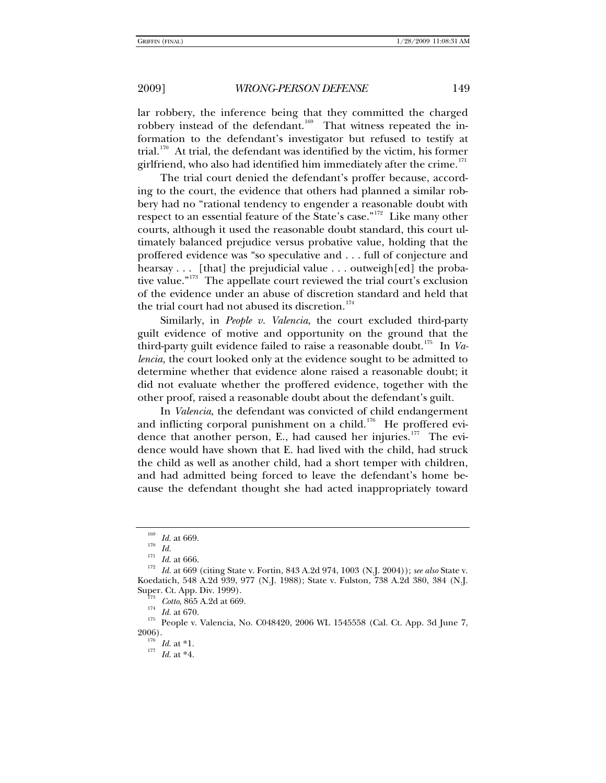lar robbery, the inference being that they committed the charged robbery instead of the defendant.<sup>[169](#page-20-0)</sup> That witness repeated the information to the defendant's investigator but refused to testify at trial.<sup>[170](#page-20-1)</sup> At trial, the defendant was identified by the victim, his former girlfriend, who also had identified him immediately after the crime. $^{171}$  $^{171}$  $^{171}$ 

The trial court denied the defendant's proffer because, according to the court, the evidence that others had planned a similar robbery had no "rational tendency to engender a reasonable doubt with respect to an essential feature of the State's case."<sup>[172](#page-20-3)</sup> Like many other courts, although it used the reasonable doubt standard, this court ultimately balanced prejudice versus probative value, holding that the proffered evidence was "so speculative and . . . full of conjecture and hearsay . . . [that] the prejudicial value . . . outweigh[ed] the proba-tive value."<sup>[173](#page-20-4)</sup> The appellate court reviewed the trial court's exclusion of the evidence under an abuse of discretion standard and held that the trial court had not abused its discretion. $174$ 

Similarly, in *People v. Valencia*, the court excluded third-party guilt evidence of motive and opportunity on the ground that the third-party guilt evidence failed to raise a reasonable doubt.<sup>[175](#page-20-6)</sup> In *Valencia,* the court looked only at the evidence sought to be admitted to determine whether that evidence alone raised a reasonable doubt; it did not evaluate whether the proffered evidence, together with the other proof, raised a reasonable doubt about the defendant's guilt.

In *Valencia*, the defendant was convicted of child endangerment and inflicting corporal punishment on a child.<sup>[176](#page-20-7)</sup> He proffered evi-dence that another person, E., had caused her injuries.<sup>[177](#page-20-8)</sup> The evidence would have shown that E. had lived with the child, had struck the child as well as another child, had a short temper with children, and had admitted being forced to leave the defendant's home because the defendant thought she had acted inappropriately toward

<span id="page-20-3"></span><span id="page-20-2"></span><span id="page-20-1"></span><span id="page-20-0"></span><sup>&</sup>lt;sup>169</sup> *Id.* at 669.<br><sup>170</sup> *Id.* at 666.<br><sup>171</sup> *Id.* at 666.<br><sup>172</sup> *Id.* at 669 (citing State v. Fortin, 843 A.2d 974, 1003 (N.J. 2004)); *see also* State v. Koedatich, 548 A.2d 939, 977 (N.J. 1988); State v. Fulston, 738 A.2d 380, 384 (N.J. Super. Ct. App. Div. 1999).

<span id="page-20-8"></span><span id="page-20-7"></span><span id="page-20-6"></span><span id="page-20-5"></span><span id="page-20-4"></span><sup>&</sup>lt;sup>113</sup> Cotto, 865 A.2d at 669.<br><sup>174</sup> Id. at 670.<br><sup>175</sup> People v. Valencia, No. C048420, 2006 WL 1545558 (Cal. Ct. App. 3d June 7,<br>2006).

 $\int_{176}^{176}$  *Id.* at \*1.<br> $\int_{177}^{177}$  *Id.* at \*4.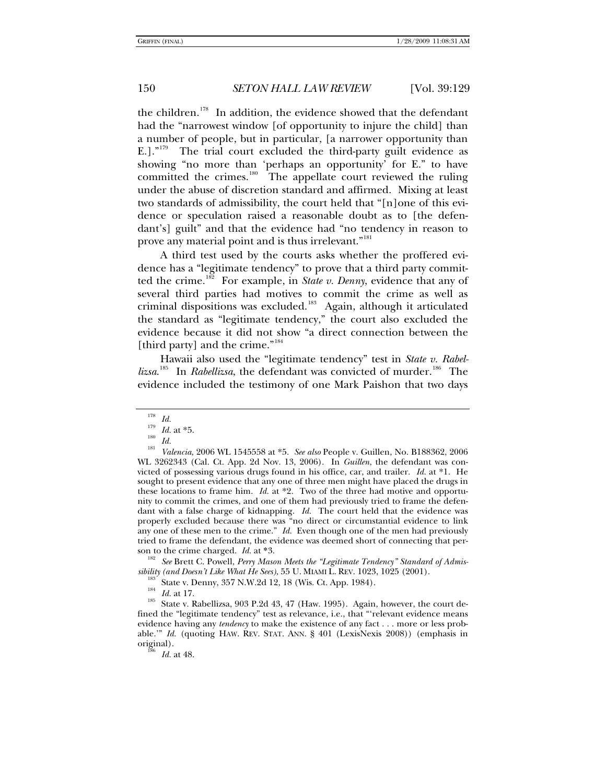the children.<sup>[178](#page-21-0)</sup> In addition, the evidence showed that the defendant had the "narrowest window [of opportunity to injure the child] than a number of people, but in particular, [a narrower opportunity than E.]. $n^{179}$  $n^{179}$  $n^{179}$  The trial court excluded the third-party guilt evidence as showing "no more than 'perhaps an opportunity' for E." to have committed the crimes.<sup>[180](#page-21-2)</sup> The appellate court reviewed the ruling under the abuse of discretion standard and affirmed. Mixing at least two standards of admissibility, the court held that "[n]one of this evidence or speculation raised a reasonable doubt as to [the defendant's] guilt" and that the evidence had "no tendency in reason to prove any material point and is thus irrelevant."<sup>[181](#page-21-3)</sup>

A third test used by the courts asks whether the proffered evidence has a "legitimate tendency" to prove that a third party commit-ted the crime.<sup>[182](#page-21-4)</sup> For example, in *State v. Denny*, evidence that any of several third parties had motives to commit the crime as well as criminal dispositions was excluded.<sup>[183](#page-21-5)</sup> Again, although it articulated the standard as "legitimate tendency," the court also excluded the evidence because it did not show "a direct connection between the [third party] and the crime."<sup>[184](#page-21-6)</sup>

Hawaii also used the "legitimate tendency" test in *State v. Rabellizsa*.<sup>[185](#page-21-7)</sup> In *Rabellizsa*, the defendant was convicted of murder.<sup>[186](#page-21-8)</sup> The evidence included the testimony of one Mark Paishon that two days

<span id="page-21-4"></span>son to the crime charged. *Id.* at \*3.<br><sup>182</sup> See Brett C. Powell, *Perry Mason Meets the "Legitimate Tendency" Standard of Admis-*<br>*sibility (and Doesn't Like What He Sees)*, 55 U. MIAMI L. REV. 1023, 1025 (2001).

<span id="page-21-8"></span><span id="page-21-7"></span><span id="page-21-6"></span><span id="page-21-5"></span><sup>183</sup> State v. Denny, 357 N.W.2d 12, 18 (Wis. Ct. App. 1984).<br><sup>184</sup> Id. at 17. State v. Rabellizsa, 903 P.2d 43, 47 (Haw. 1995). Again, however, the court defined the "legitimate tendency" test as relevance, i.e., that "'relevant evidence means evidence having any *tendency* to make the existence of any fact . . . more or less probable.'" *Id.* (quoting HAW. REV. STAT. ANN. § 401 (LexisNexis 2008)) (emphasis in original). 186 *Id.* at 48.

<span id="page-21-3"></span><span id="page-21-2"></span><span id="page-21-1"></span><span id="page-21-0"></span><sup>178</sup> *Id.* <sup>179</sup> *Id.* at \*5. 180 *Id.* <sup>181</sup> *Valencia*, 2006 WL 1545558 at \*5. *See also* People v. Guillen, No. B188362, 2006 WL 3262343 (Cal. Ct. App. 2d Nov. 13, 2006). In *Guillen*, the defendant was convicted of possessing various drugs found in his office, car, and trailer. *Id.* at \*1. He sought to present evidence that any one of three men might have placed the drugs in these locations to frame him. *Id.* at \*2. Two of the three had motive and opportunity to commit the crimes, and one of them had previously tried to frame the defendant with a false charge of kidnapping. *Id.* The court held that the evidence was properly excluded because there was "no direct or circumstantial evidence to link any one of these men to the crime." *Id.* Even though one of the men had previously tried to frame the defendant, the evidence was deemed short of connecting that per-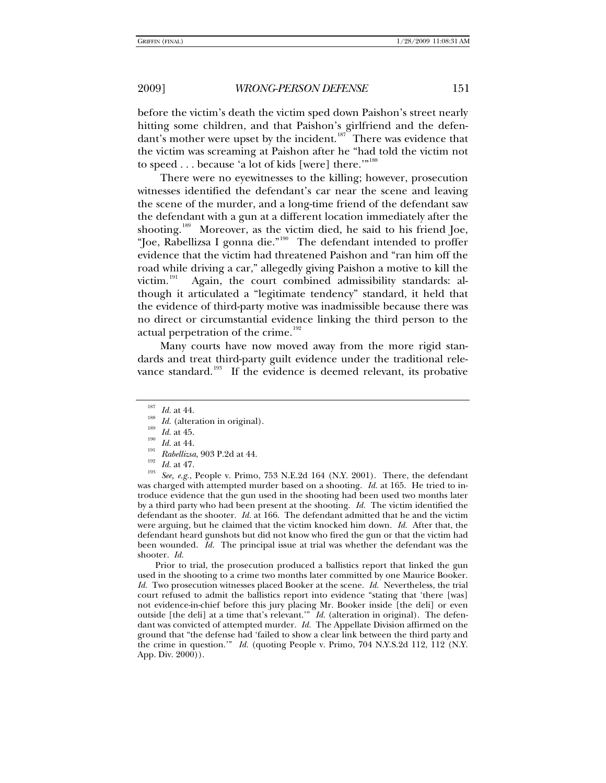before the victim's death the victim sped down Paishon's street nearly hitting some children, and that Paishon's girlfriend and the defen-dant's mother were upset by the incident.<sup>[187](#page-22-0)</sup> There was evidence that the victim was screaming at Paishon after he "had told the victim not to speed . . . because 'a lot of kids [were] there.'"<sup>[188](#page-22-1)</sup>

There were no eyewitnesses to the killing; however, prosecution witnesses identified the defendant's car near the scene and leaving the scene of the murder, and a long-time friend of the defendant saw the defendant with a gun at a different location immediately after the shooting.<sup>[189](#page-22-2)</sup> Moreover, as the victim died, he said to his friend Joe, "Joe, Rabellizsa I gonna die."[190](#page-22-3) The defendant intended to proffer evidence that the victim had threatened Paishon and "ran him off the road while driving a car," allegedly giving Paishon a motive to kill the victim.<sup>[191](#page-22-4)</sup> Again, the court combined admissibility standards: although it articulated a "legitimate tendency" standard, it held that the evidence of third-party motive was inadmissible because there was no direct or circumstantial evidence linking the third person to the actual perpetration of the crime.<sup>[192](#page-22-5)</sup>

Many courts have now moved away from the more rigid standards and treat third-party guilt evidence under the traditional rele-vance standard.<sup>[193](#page-22-6)</sup> If the evidence is deemed relevant, its probative

<span id="page-22-4"></span><span id="page-22-3"></span><span id="page-22-2"></span><span id="page-22-1"></span><span id="page-22-0"></span><sup>187</sup> *Id.* at 44.<br>
<sup>188</sup> *Id.* (alteration in original).<br>
<sup>189</sup> *Id.* at 45.<br>
<sup>190</sup> *Id.* at 44.<br>
<sup>191</sup> *Rabellizsa*, 903 P.2d at 44.<br>
<sup>192</sup> *Id.* at 47.<br> *Iss See, e.g.*, People v. Primo, 753 N.E.2d 164 (N.Y. 2001). T was charged with attempted murder based on a shooting. *Id.* at 165. He tried to introduce evidence that the gun used in the shooting had been used two months later by a third party who had been present at the shooting. *Id.* The victim identified the defendant as the shooter. *Id.* at 166. The defendant admitted that he and the victim were arguing, but he claimed that the victim knocked him down. *Id.* After that, the defendant heard gunshots but did not know who fired the gun or that the victim had been wounded. *Id.* The principal issue at trial was whether the defendant was the shooter. *Id.*

Prior to trial, the prosecution produced a ballistics report that linked the gun used in the shooting to a crime two months later committed by one Maurice Booker. *Id.* Two prosecution witnesses placed Booker at the scene. *Id.* Nevertheless, the trial court refused to admit the ballistics report into evidence "stating that 'there [was] not evidence-in-chief before this jury placing Mr. Booker inside [the deli] or even outside [the deli] at a time that's relevant."  $\overrightarrow{I}$  *Id.* (alteration in original). The defendant was convicted of attempted murder. *Id.* The Appellate Division affirmed on the ground that "the defense had 'failed to show a clear link between the third party and the crime in question.'" *Id.* (quoting People v. Primo, 704 N.Y.S.2d 112, 112 (N.Y. App. Div. 2000)).

<span id="page-22-5"></span>

<span id="page-22-6"></span>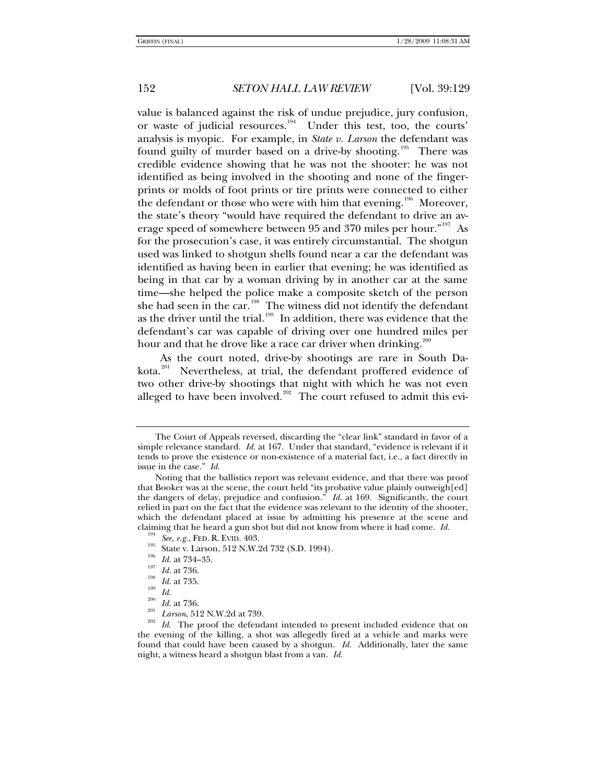value is balanced against the risk of undue prejudice, jury confusion, or waste of judicial resources.<sup>[194](#page-23-0)</sup> Under this test, too, the courts' analysis is myopic. For example, in *State v. Larson* the defendant was found guilty of murder based on a drive-by shooting.<sup>[195](#page-23-1)</sup> There was credible evidence showing that he was not the shooter: he was not identified as being involved in the shooting and none of the fingerprints or molds of foot prints or tire prints were connected to either the defendant or those who were with him that evening.<sup>[196](#page-23-2)</sup> Moreover, the state's theory "would have required the defendant to drive an av-erage speed of somewhere between 95 and 370 miles per hour."<sup>[197](#page-23-3)</sup> As for the prosecution's case, it was entirely circumstantial. The shotgun used was linked to shotgun shells found near a car the defendant was identified as having been in earlier that evening; he was identified as being in that car by a woman driving by in another car at the same time—she helped the police make a composite sketch of the person she had seen in the car.<sup>[198](#page-23-4)</sup> The witness did not identify the defendant as the driver until the trial.<sup>[199](#page-23-5)</sup> In addition, there was evidence that the defendant's car was capable of driving over one hundred miles per hour and that he drove like a race car driver when drinking.<sup>20</sup>

As the court noted, drive-by shootings are rare in South Da-kota.<sup>[201](#page-23-7)</sup> Nevertheless, at trial, the defendant proffered evidence of two other drive-by shootings that night with which he was not even alleged to have been involved. $202$  The court refused to admit this evi-

The Court of Appeals reversed, discarding the "clear link" standard in favor of a simple relevance standard. *Id.* at 167. Under that standard, "evidence is relevant if it tends to prove the existence or non-existence of a material fact, i.e., a fact directly in issue in the case." *Id.*

Noting that the ballistics report was relevant evidence, and that there was proof that Booker was at the scene, the court held "its probative value plainly outweigh[ed] the dangers of delay, prejudice and confusion." *Id.* at 169. Significantly, the court relied in part on the fact that the evidence was relevant to the identity of the shooter, which the defendant placed at issue by admitting his presence at the scene and

<span id="page-23-7"></span><span id="page-23-6"></span><span id="page-23-5"></span>

<span id="page-23-8"></span>

<span id="page-23-4"></span><span id="page-23-3"></span><span id="page-23-2"></span><span id="page-23-1"></span><span id="page-23-0"></span>claiming that he heard a gun shot but did not know from where it had come. *Id.*<br><sup>194</sup> See, e.g., FED. R. EVID. 403.<br><sup>195</sup> State v. Larson, 512 N.W.2d 732 (S.D. 1994).<br><sup>196</sup> *Id.* at 734–35.<br><sup>196</sup> *Id.* at 736.<br><sup>198</sup> *Id.* the evening of the killing, a shot was allegedly fired at a vehicle and marks were found that could have been caused by a shotgun. *Id.* Additionally, later the same night, a witness heard a shotgun blast from a van. *Id.*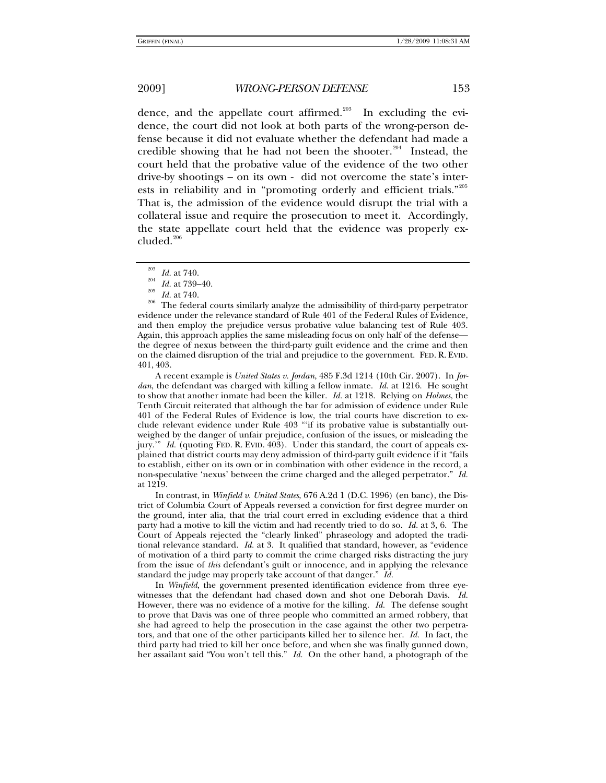dence, and the appellate court affirmed.<sup>[203](#page-24-0)</sup> In excluding the evidence, the court did not look at both parts of the wrong-person defense because it did not evaluate whether the defendant had made a credible showing that he had not been the shooter.<sup>[204](#page-24-1)</sup> Instead, the court held that the probative value of the evidence of the two other drive-by shootings – on its own - did not overcome the state's interests in reliability and in "promoting orderly and efficient trials."[205](#page-24-2) That is, the admission of the evidence would disrupt the trial with a collateral issue and require the prosecution to meet it. Accordingly, the state appellate court held that the evidence was properly ex- $cluded.<sup>206</sup>$  $cluded.<sup>206</sup>$  $cluded.<sup>206</sup>$ 

A recent example is *United States v. Jordan*, 485 F.3d 1214 (10th Cir. 2007). In *Jordan*, the defendant was charged with killing a fellow inmate. *Id.* at 1216. He sought to show that another inmate had been the killer. *Id.* at 1218. Relying on *Holmes*, the Tenth Circuit reiterated that although the bar for admission of evidence under Rule 401 of the Federal Rules of Evidence is low, the trial courts have discretion to exclude relevant evidence under Rule 403 "'if its probative value is substantially outweighed by the danger of unfair prejudice, confusion of the issues, or misleading the jury.'" *Id.* (quoting FED. R. EVID. 403). Under this standard, the court of appeals explained that district courts may deny admission of third-party guilt evidence if it "fails to establish, either on its own or in combination with other evidence in the record, a non-speculative 'nexus' between the crime charged and the alleged perpetrator." *Id.* at 1219.

In contrast, in *Winfield v. United States*, 676 A.2d 1 (D.C. 1996) (en banc), the District of Columbia Court of Appeals reversed a conviction for first degree murder on the ground, inter alia, that the trial court erred in excluding evidence that a third party had a motive to kill the victim and had recently tried to do so. *Id.* at 3, 6. The Court of Appeals rejected the "clearly linked" phraseology and adopted the traditional relevance standard. *Id.* at 3. It qualified that standard, however, as "evidence of motivation of a third party to commit the crime charged risks distracting the jury from the issue of *this* defendant's guilt or innocence, and in applying the relevance standard the judge may properly take account of that danger." *Id.*

In *Winfield*, the government presented identification evidence from three eyewitnesses that the defendant had chased down and shot one Deborah Davis. *Id.* However, there was no evidence of a motive for the killing. *Id.* The defense sought to prove that Davis was one of three people who committed an armed robbery, that she had agreed to help the prosecution in the case against the other two perpetrators, and that one of the other participants killed her to silence her. *Id.* In fact, the third party had tried to kill her once before, and when she was finally gunned down, her assailant said "You won't tell this." *Id.* On the other hand, a photograph of the

<span id="page-24-3"></span><span id="page-24-2"></span><span id="page-24-1"></span><span id="page-24-0"></span><sup>&</sup>lt;sup>203</sup> *Id.* at 740.<br><sup>204</sup> *Id.* at 739–40.<br><sup>205</sup> *Id.* at 740.<br><sup>206</sup> The federal courts similarly analyze the admissibility of third-party perpetrator evidence under the relevance standard of Rule 401 of the Federal Rules of Evidence, and then employ the prejudice versus probative value balancing test of Rule 403. Again, this approach applies the same misleading focus on only half of the defense the degree of nexus between the third-party guilt evidence and the crime and then on the claimed disruption of the trial and prejudice to the government. FED. R. EVID. 401, 403.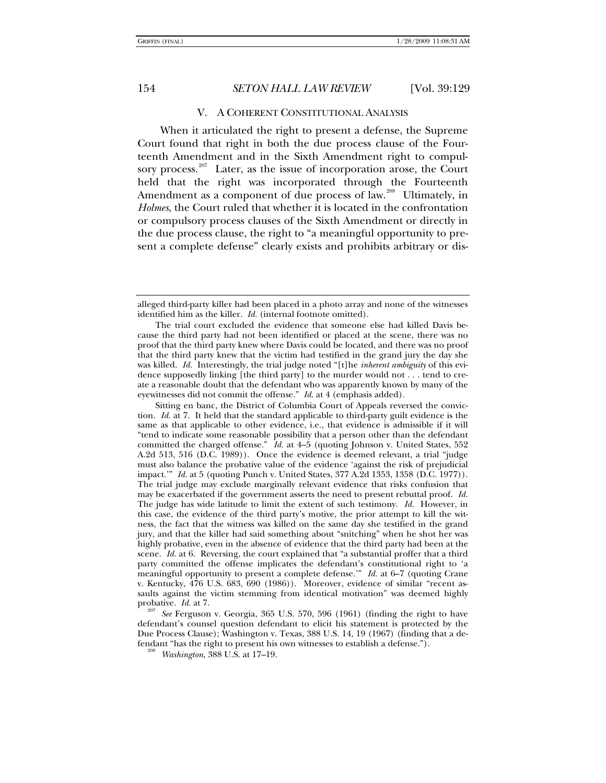### V. A COHERENT CONSTITUTIONAL ANALYSIS

When it articulated the right to present a defense, the Supreme Court found that right in both the due process clause of the Fourteenth Amendment and in the Sixth Amendment right to compul-sory process.<sup>[207](#page-25-0)</sup> Later, as the issue of incorporation arose, the Court held that the right was incorporated through the Fourteenth Amendment as a component of due process of law.<sup>[208](#page-25-1)</sup> Ultimately, in *Holmes*, the Court ruled that whether it is located in the confrontation or compulsory process clauses of the Sixth Amendment or directly in the due process clause, the right to "a meaningful opportunity to present a complete defense" clearly exists and prohibits arbitrary or dis-

Sitting en banc, the District of Columbia Court of Appeals reversed the conviction. *Id.* at 7. It held that the standard applicable to third-party guilt evidence is the same as that applicable to other evidence, i.e., that evidence is admissible if it will "tend to indicate some reasonable possibility that a person other than the defendant committed the charged offense." *Id.* at 4–5 (quoting Johnson v. United States, 552 A.2d 513, 516 (D.C. 1989)). Once the evidence is deemed relevant, a trial "judge must also balance the probative value of the evidence 'against the risk of prejudicial impact.'" *Id.* at 5 (quoting Punch v. United States, 377 A.2d 1353, 1358 (D.C. 1977)). The trial judge may exclude marginally relevant evidence that risks confusion that may be exacerbated if the government asserts the need to present rebuttal proof. *Id.* The judge has wide latitude to limit the extent of such testimony. *Id.* However, in this case, the evidence of the third party's motive, the prior attempt to kill the witness, the fact that the witness was killed on the same day she testified in the grand jury, and that the killer had said something about "snitching" when he shot her was highly probative, even in the absence of evidence that the third party had been at the scene. *Id.* at 6. Reversing, the court explained that "a substantial proffer that a third party committed the offense implicates the defendant's constitutional right to 'a meaningful opportunity to present a complete defense.'" *Id.* at 6–7 (quoting Crane v. Kentucky, 476 U.S. 683, 690 (1986)). Moreover, evidence of similar "recent assaults against the victim stemming from identical motivation" was deemed highly probative.  $Id$  at 7.

<span id="page-25-1"></span><span id="page-25-0"></span>See Ferguson v. Georgia, 365 U.S. 570, 596 (1961) (finding the right to have defendant's counsel question defendant to elicit his statement is protected by the Due Process Clause); Washington v. Texas, 388 U.S. 14, 19 (1967) (finding that a defendant "has the right to present his own witnesses to establish a defense."). 208 *Washington*, 388 U.S. at 17–19.

alleged third-party killer had been placed in a photo array and none of the witnesses identified him as the killer. *Id.* (internal footnote omitted).

The trial court excluded the evidence that someone else had killed Davis because the third party had not been identified or placed at the scene, there was no proof that the third party knew where Davis could be located, and there was no proof that the third party knew that the victim had testified in the grand jury the day she was killed. *Id.* Interestingly, the trial judge noted "[t]he *inherent ambiguity* of this evidence supposedly linking [the third party] to the murder would not . . . tend to create a reasonable doubt that the defendant who was apparently known by many of the eyewitnesses did not commit the offense." *Id.* at 4 (emphasis added).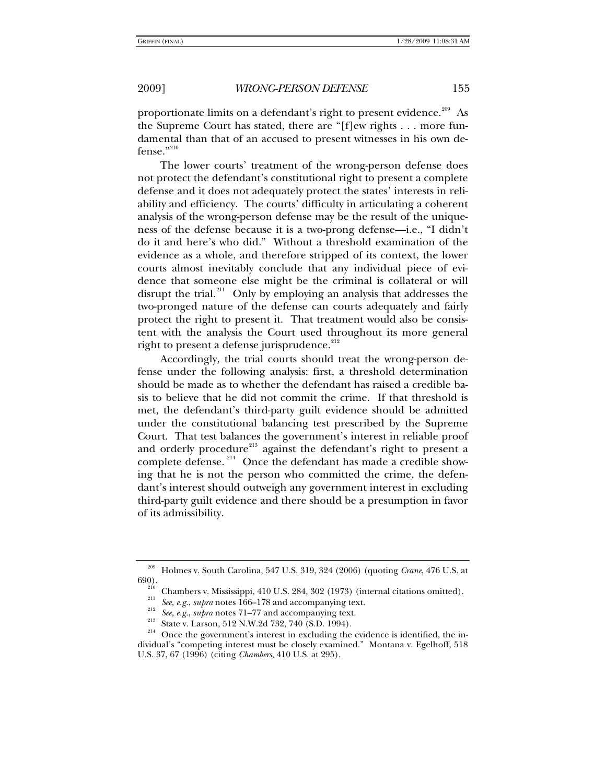proportionate limits on a defendant's right to present evidence.<sup>[209](#page-26-0)</sup> As the Supreme Court has stated, there are "[f]ew rights . . . more fundamental than that of an accused to present witnesses in his own defense." $^{210}$  $^{210}$  $^{210}$ 

The lower courts' treatment of the wrong-person defense does not protect the defendant's constitutional right to present a complete defense and it does not adequately protect the states' interests in reliability and efficiency. The courts' difficulty in articulating a coherent analysis of the wrong-person defense may be the result of the uniqueness of the defense because it is a two-prong defense—i.e., "I didn't do it and here's who did." Without a threshold examination of the evidence as a whole, and therefore stripped of its context, the lower courts almost inevitably conclude that any individual piece of evidence that someone else might be the criminal is collateral or will disrupt the trial.<sup>[211](#page-26-2)</sup> Only by employing an analysis that addresses the two-pronged nature of the defense can courts adequately and fairly protect the right to present it. That treatment would also be consistent with the analysis the Court used throughout its more general right to present a defense jurisprudence. $^{212}$  $^{212}$  $^{212}$ 

Accordingly, the trial courts should treat the wrong-person defense under the following analysis: first, a threshold determination should be made as to whether the defendant has raised a credible basis to believe that he did not commit the crime. If that threshold is met, the defendant's third-party guilt evidence should be admitted under the constitutional balancing test prescribed by the Supreme Court. That test balances the government's interest in reliable proof and orderly procedure<sup>[213](#page-26-4)</sup> against the defendant's right to present a complete defense.<sup>[214](#page-26-5)</sup> Once the defendant has made a credible showing that he is not the person who committed the crime, the defendant's interest should outweigh any government interest in excluding third-party guilt evidence and there should be a presumption in favor of its admissibility.

<span id="page-26-2"></span><span id="page-26-1"></span><span id="page-26-0"></span><sup>209</sup> Holmes v. South Carolina, 547 U.S. 319, 324 (2006) (quoting *Crane*, 476 U.S. at

<sup>&</sup>lt;sup>210</sup> Chambers v. Mississippi, 410 U.S. 284, 302 (1973) (internal citations omitted).<br><sup>211</sup> *See, e.g., supra* notes 166–178 and accompanying text.<br><sup>212</sup> *See, e.g., supra* notes 71–77 and accompanying text.<br>3<sup>213</sup> State

<span id="page-26-5"></span><span id="page-26-4"></span><span id="page-26-3"></span>dividual's "competing interest must be closely examined." Montana v. Egelhoff, 518 U.S. 37, 67 (1996) (citing *Chambers*, 410 U.S. at 295).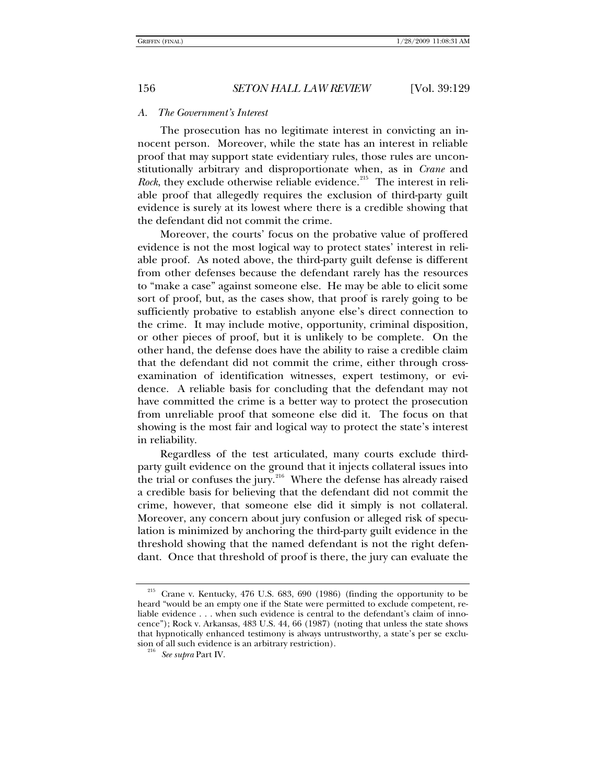### *A. The Government's Interest*

The prosecution has no legitimate interest in convicting an innocent person. Moreover, while the state has an interest in reliable proof that may support state evidentiary rules, those rules are unconstitutionally arbitrary and disproportionate when, as in *Crane* and *Rock*, they exclude otherwise reliable evidence.<sup>[215](#page-27-0)</sup> The interest in reliable proof that allegedly requires the exclusion of third-party guilt evidence is surely at its lowest where there is a credible showing that the defendant did not commit the crime.

Moreover, the courts' focus on the probative value of proffered evidence is not the most logical way to protect states' interest in reliable proof. As noted above, the third-party guilt defense is different from other defenses because the defendant rarely has the resources to "make a case" against someone else. He may be able to elicit some sort of proof, but, as the cases show, that proof is rarely going to be sufficiently probative to establish anyone else's direct connection to the crime. It may include motive, opportunity, criminal disposition, or other pieces of proof, but it is unlikely to be complete. On the other hand, the defense does have the ability to raise a credible claim that the defendant did not commit the crime, either through crossexamination of identification witnesses, expert testimony, or evidence. A reliable basis for concluding that the defendant may not have committed the crime is a better way to protect the prosecution from unreliable proof that someone else did it. The focus on that showing is the most fair and logical way to protect the state's interest in reliability.

Regardless of the test articulated, many courts exclude thirdparty guilt evidence on the ground that it injects collateral issues into the trial or confuses the jury.<sup>[216](#page-27-1)</sup> Where the defense has already raised a credible basis for believing that the defendant did not commit the crime, however, that someone else did it simply is not collateral. Moreover, any concern about jury confusion or alleged risk of speculation is minimized by anchoring the third-party guilt evidence in the threshold showing that the named defendant is not the right defendant. Once that threshold of proof is there, the jury can evaluate the

<span id="page-27-1"></span><span id="page-27-0"></span><sup>215</sup> Crane v. Kentucky, 476 U.S. 683, 690 (1986) (finding the opportunity to be heard "would be an empty one if the State were permitted to exclude competent, reliable evidence . . . when such evidence is central to the defendant's claim of innocence"); Rock v. Arkansas, 483 U.S. 44, 66 (1987) (noting that unless the state shows that hypnotically enhanced testimony is always untrustworthy, a state's per se exclusion of all such evidence is an arbitrary restriction). 216 *See supra* Part IV.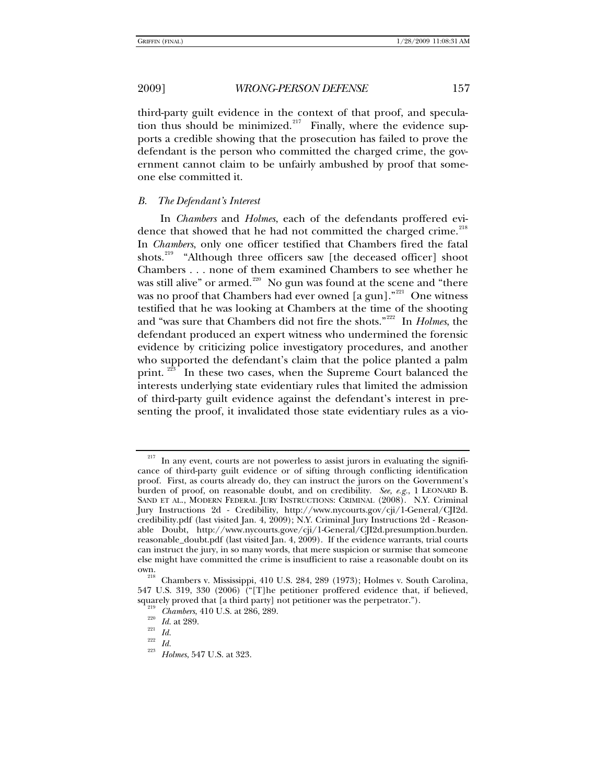third-party guilt evidence in the context of that proof, and specula-tion thus should be minimized.<sup>[217](#page-28-0)</sup> Finally, where the evidence supports a credible showing that the prosecution has failed to prove the defendant is the person who committed the charged crime, the government cannot claim to be unfairly ambushed by proof that someone else committed it.

# *B. The Defendant's Interest*

In *Chambers* and *Holmes*, each of the defendants proffered evi-dence that showed that he had not committed the charged crime.<sup>[218](#page-28-1)</sup> In *Chambers*, only one officer testified that Chambers fired the fatal shots.<sup>[219](#page-28-2)</sup> "Although three officers saw [the deceased officer] shoot Chambers . . . none of them examined Chambers to see whether he was still alive" or armed.<sup>[220](#page-28-3)</sup> No gun was found at the scene and "there was no proof that Chambers had ever owned  $[a \text{ gun}]$ ."<sup>[221](#page-28-4)</sup> One witness testified that he was looking at Chambers at the time of the shooting and "was sure that Chambers did not fire the shots."[222](#page-28-5) In *Holmes*, the defendant produced an expert witness who undermined the forensic evidence by criticizing police investigatory procedures, and another who supported the defendant's claim that the police planted a palm print. <sup>[223](#page-28-6)</sup> In these two cases, when the Supreme Court balanced the interests underlying state evidentiary rules that limited the admission of third-party guilt evidence against the defendant's interest in presenting the proof, it invalidated those state evidentiary rules as a vio-

<span id="page-28-0"></span> $217$  In any event, courts are not powerless to assist jurors in evaluating the significance of third-party guilt evidence or of sifting through conflicting identification proof. First, as courts already do, they can instruct the jurors on the Government's burden of proof, on reasonable doubt, and on credibility. *See, e.g.*, 1 LEONARD B. SAND ET AL., MODERN FEDERAL JURY INSTRUCTIONS: CRIMINAL (2008). N.Y. Criminal Jury Instructions 2d - Credibility, http://www.nycourts.gov/cji/1-General/CJI2d. credibility.pdf (last visited Jan. 4, 2009); N.Y. Criminal Jury Instructions 2d - Reasonable Doubt, http://www.nycourts.gove/cji/1-General/CJI2d.presumption.burden. reasonable\_doubt.pdf (last visited Jan. 4, 2009).If the evidence warrants, trial courts can instruct the jury, in so many words, that mere suspicion or surmise that someone else might have committed the crime is insufficient to raise a reasonable doubt on its own. 218 Chambers v. Mississippi, 410 U.S. 284, 289 (1973); Holmes v. South Carolina,

<span id="page-28-4"></span><span id="page-28-3"></span><span id="page-28-2"></span><span id="page-28-1"></span><sup>547</sup> U.S. 319, 330 (2006) ("[T]he petitioner proffered evidence that, if believed, squarely proved that [a third party] not petitioner was the perpetrator.").<br>
<sup>219</sup> *Chambers*, 410 U.S. at 286, 289.<br> *221 Id.*<br>
<sup>222</sup> *Id.*<br>
<sup>223</sup> *Id. Holmes*, 547 U.S. at 323.

<span id="page-28-6"></span><span id="page-28-5"></span>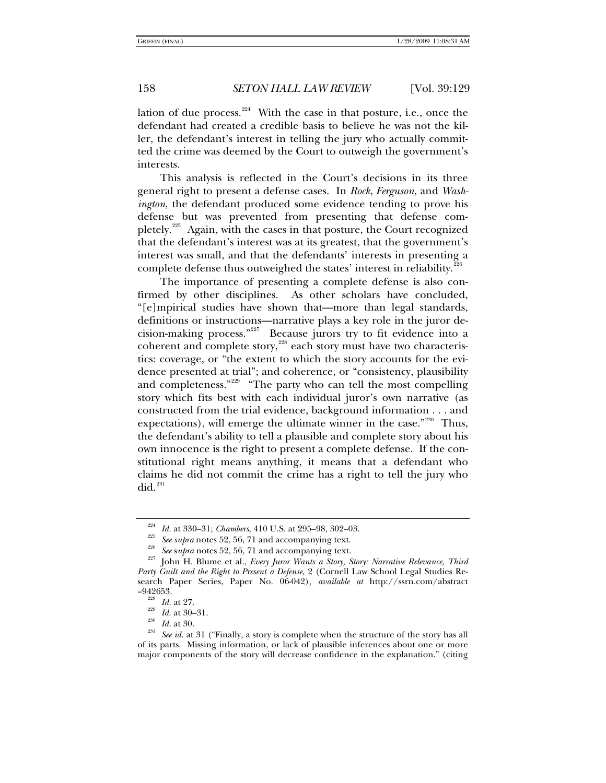lation of due process. $224$  With the case in that posture, i.e., once the defendant had created a credible basis to believe he was not the killer, the defendant's interest in telling the jury who actually committed the crime was deemed by the Court to outweigh the government's interests.

This analysis is reflected in the Court's decisions in its three general right to present a defense cases. In *Rock*, *Ferguson*, and *Washington*, the defendant produced some evidence tending to prove his defense but was prevented from presenting that defense com-pletely.<sup>[225](#page-29-1)</sup> Again, with the cases in that posture, the Court recognized that the defendant's interest was at its greatest, that the government's interest was small, and that the defendants' interests in presenting a complete defense thus outweighed the states' interest in reliability. $\overline{a}$ 

The importance of presenting a complete defense is also confirmed by other disciplines. As other scholars have concluded, "[e]mpirical studies have shown that—more than legal standards, definitions or instructions—narrative plays a key role in the juror decision-making process."[227](#page-29-3) Because jurors try to fit evidence into a coherent and complete story,<sup>[228](#page-29-4)</sup> each story must have two characteristics: coverage, or "the extent to which the story accounts for the evidence presented at trial"; and coherence, or "consistency, plausibility and completeness."<sup>[229](#page-29-5)</sup> "The party who can tell the most compelling story which fits best with each individual juror's own narrative (as constructed from the trial evidence, background information . . . and expectations), will emerge the ultimate winner in the case."<sup>[230](#page-29-6)</sup> Thus, the defendant's ability to tell a plausible and complete story about his own innocence is the right to present a complete defense. If the constitutional right means anything, it means that a defendant who claims he did not commit the crime has a right to tell the jury who  $did.<sup>231</sup>$  $did.<sup>231</sup>$  $did.<sup>231</sup>$ 

<span id="page-29-3"></span><span id="page-29-2"></span><span id="page-29-1"></span><span id="page-29-0"></span><sup>&</sup>lt;sup>224</sup> *Id.* at 330–31; *Chambers*, 410 U.S. at 295–98, 302–03.<br><sup>225</sup> *See supra* notes 52, 56, 71 and accompanying text.<br><sup>226</sup> *See supra* notes 52, 56, 71 and accompanying text.<br><sup>227</sup> Iohn H. Blume et al., *Every Juror W Party Guilt and the Right to Present a Defense*, 2 (Cornell Law School Legal Studies Research Paper Series, Paper No. 06-042), *available at* http://ssrn.com/abstract

<span id="page-29-7"></span><span id="page-29-6"></span><span id="page-29-5"></span><span id="page-29-4"></span><sup>=942653. 228</sup> *Id.* at 27. 229 *Id.* at 30–31. 230 *Id.* at 30. 231 *See id.* at 31 ("Finally, a story is complete when the structure of the story has all of its parts. Missing information, or lack of plausible inferences about one or more major components of the story will decrease confidence in the explanation." (citing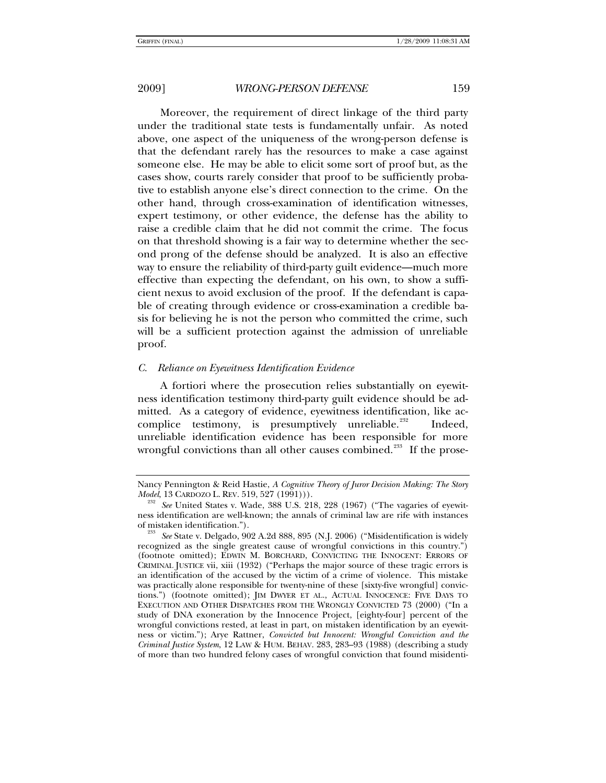Moreover, the requirement of direct linkage of the third party under the traditional state tests is fundamentally unfair. As noted above, one aspect of the uniqueness of the wrong-person defense is that the defendant rarely has the resources to make a case against someone else. He may be able to elicit some sort of proof but, as the

cases show, courts rarely consider that proof to be sufficiently probative to establish anyone else's direct connection to the crime. On the other hand, through cross-examination of identification witnesses, expert testimony, or other evidence, the defense has the ability to raise a credible claim that he did not commit the crime. The focus on that threshold showing is a fair way to determine whether the second prong of the defense should be analyzed. It is also an effective way to ensure the reliability of third-party guilt evidence—much more effective than expecting the defendant, on his own, to show a sufficient nexus to avoid exclusion of the proof. If the defendant is capable of creating through evidence or cross-examination a credible basis for believing he is not the person who committed the crime, such will be a sufficient protection against the admission of unreliable proof.

# *C. Reliance on Eyewitness Identification Evidence*

A fortiori where the prosecution relies substantially on eyewitness identification testimony third-party guilt evidence should be admitted. As a category of evidence, eyewitness identification, like ac-complice testimony, is presumptively unreliable.<sup>[232](#page-30-0)</sup> Indeed, unreliable identification evidence has been responsible for more wrongful convictions than all other causes combined.<sup>[233](#page-30-1)</sup> If the prose-

Nancy Pennington & Reid Hastie, *A Cognitive Theory of Juror Decision Making: The Story* 

<span id="page-30-0"></span>*Model*, 13 CARDOZO L. REV. 519, 527 (1991))).<br><sup>232</sup> See United States v. Wade, 388 U.S. 218, 228 (1967) ("The vagaries of eyewitness identification are well-known; the annals of criminal law are rife with instances

<span id="page-30-1"></span>See State v. Delgado, 902 A.2d 888, 895 (N.J. 2006) ("Misidentification is widely recognized as the single greatest cause of wrongful convictions in this country.") (footnote omitted); EDWIN M. BORCHARD, CONVICTING THE INNOCENT: ERRORS OF CRIMINAL JUSTICE vii, xiii (1932) ("Perhaps the major source of these tragic errors is an identification of the accused by the victim of a crime of violence. This mistake was practically alone responsible for twenty-nine of these [sixty-five wrongful] convictions.") (footnote omitted); JIM DWYER ET AL., ACTUAL INNOCENCE: FIVE DAYS TO EXECUTION AND OTHER DISPATCHES FROM THE WRONGLY CONVICTED 73 (2000) ("In a study of DNA exoneration by the Innocence Project, [eighty-four] percent of the wrongful convictions rested, at least in part, on mistaken identification by an eyewitness or victim."); Arye Rattner, *Convicted but Innocent: Wrongful Conviction and the Criminal Justice System*, 12 LAW & HUM. BEHAV. 283, 283–93 (1988) (describing a study of more than two hundred felony cases of wrongful conviction that found misidenti-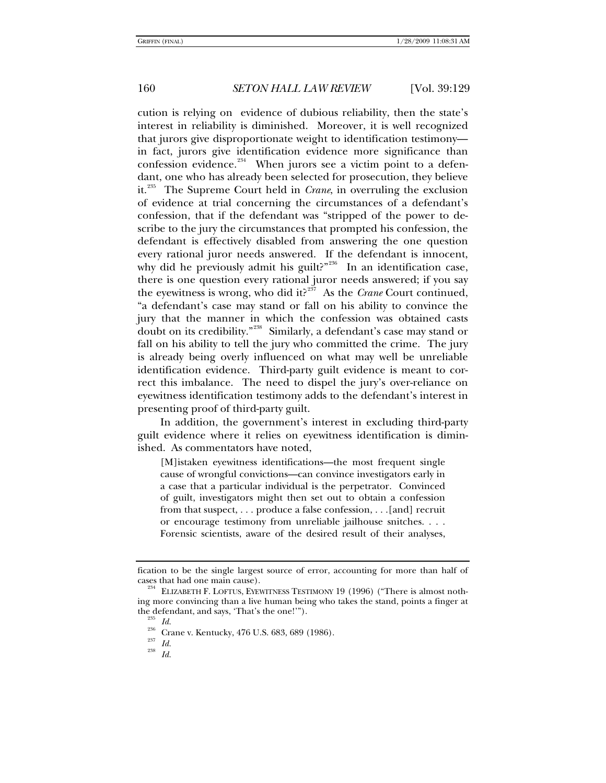cution is relying on evidence of dubious reliability, then the state's interest in reliability is diminished. Moreover, it is well recognized that jurors give disproportionate weight to identification testimony in fact, jurors give identification evidence more significance than confession evidence.<sup>[234](#page-31-0)</sup> When jurors see a victim point to a defendant, one who has already been selected for prosecution, they believe it.[235](#page-31-1) The Supreme Court held in *Crane*, in overruling the exclusion of evidence at trial concerning the circumstances of a defendant's confession, that if the defendant was "stripped of the power to describe to the jury the circumstances that prompted his confession, the defendant is effectively disabled from answering the one question every rational juror needs answered. If the defendant is innocent, why did he previously admit his guilt?"<sup>[236](#page-31-2)</sup> In an identification case, there is one question every rational juror needs answered; if you say the eyewitness is wrong, who did it?<sup>[237](#page-31-3)</sup> As the *Crane* Court continued, "a defendant's case may stand or fall on his ability to convince the jury that the manner in which the confession was obtained casts doubt on its credibility."[238](#page-31-4) Similarly, a defendant's case may stand or fall on his ability to tell the jury who committed the crime. The jury is already being overly influenced on what may well be unreliable identification evidence. Third-party guilt evidence is meant to correct this imbalance. The need to dispel the jury's over-reliance on eyewitness identification testimony adds to the defendant's interest in presenting proof of third-party guilt.

In addition, the government's interest in excluding third-party guilt evidence where it relies on eyewitness identification is diminished. As commentators have noted,

[M]istaken eyewitness identifications—the most frequent single cause of wrongful convictions—can convince investigators early in a case that a particular individual is the perpetrator. Convinced of guilt, investigators might then set out to obtain a confession from that suspect, . . . produce a false confession, . . .[and] recruit or encourage testimony from unreliable jailhouse snitches. . . . Forensic scientists, aware of the desired result of their analyses,

<span id="page-31-4"></span>

fication to be the single largest source of error, accounting for more than half of cases that had one main cause).<br><sup>234</sup> ELIZABETH F. LOFTUS, EYEWITNESS TESTIMONY 19 (1996) ("There is almost noth-

<span id="page-31-3"></span><span id="page-31-2"></span><span id="page-31-1"></span><span id="page-31-0"></span>ing more convincing than a live human being who takes the stand, points a finger at

<sup>&</sup>lt;sup>236</sup> *Id.* 236 *Id.* 236 Crane v. Kentucky, 476 U.S. 683, 689 (1986). <sup>237</sup> *Id.* 238 *Id.*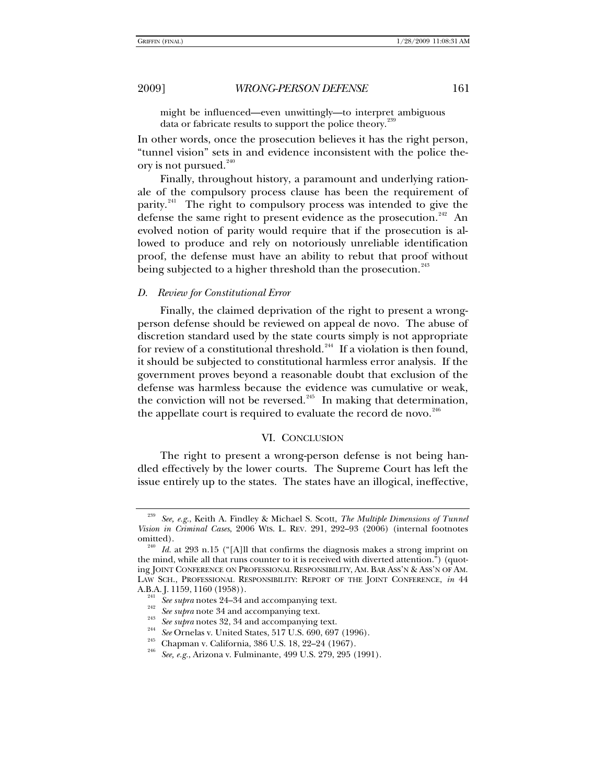might be influenced—even unwittingly—to interpret ambiguous data or fabricate results to support the police theory.<sup>2</sup>

In other words, once the prosecution believes it has the right person, "tunnel vision" sets in and evidence inconsistent with the police theory is not pursued. $240$ 

Finally, throughout history, a paramount and underlying rationale of the compulsory process clause has been the requirement of parity.<sup>[241](#page-32-2)</sup> The right to compulsory process was intended to give the defense the same right to present evidence as the prosecution.<sup>[242](#page-32-3)</sup> An evolved notion of parity would require that if the prosecution is allowed to produce and rely on notoriously unreliable identification proof, the defense must have an ability to rebut that proof without being subjected to a higher threshold than the prosecution.<sup>[243](#page-32-4)</sup>

# *D. Review for Constitutional Error*

Finally, the claimed deprivation of the right to present a wrongperson defense should be reviewed on appeal de novo. The abuse of discretion standard used by the state courts simply is not appropriate for review of a constitutional threshold.<sup>[244](#page-32-5)</sup> If a violation is then found, it should be subjected to constitutional harmless error analysis. If the government proves beyond a reasonable doubt that exclusion of the defense was harmless because the evidence was cumulative or weak, the conviction will not be reversed.<sup>[245](#page-32-6)</sup> In making that determination, the appellate court is required to evaluate the record de novo. $246$ 

### VI. CONCLUSION

The right to present a wrong-person defense is not being handled effectively by the lower courts. The Supreme Court has left the issue entirely up to the states. The states have an illogical, ineffective,

<span id="page-32-0"></span><sup>239</sup> *See, e.g.*, Keith A. Findley & Michael S. Scott, *The Multiple Dimensions of Tunnel Vision in Criminal Cases*, 2006 WIS. L. REV. 291, 292–93 (2006) (internal footnotes omitted). 240 *Id.* at 293 n.15 ("[A]ll that confirms the diagnosis makes a strong imprint on

<span id="page-32-2"></span><span id="page-32-1"></span>the mind, while all that runs counter to it is received with diverted attention.") (quoting JOINT CONFERENCE ON PROFESSIONAL RESPONSIBILITY, AM. BAR ASS'N & ASS'N OF AM. LAW SCH., PROFESSIONAL RESPONSIBILITY: REPORT OF THE JOINT CONFERENCE, *in* 44 A.B.A. J. 1159, 1160 (1958)).<br>
<sup>241</sup> *See supra* notes 24–34 and accompanying text.<br>
<sup>242</sup> *See supra* note 34 and accompanying text.<br>
<sup>243</sup> *See supra* notes 32, 34 and accompanying text.<br>
<sup>244</sup> *See Supra* notes 32, 34

<span id="page-32-3"></span>

<span id="page-32-4"></span>

<span id="page-32-7"></span><span id="page-32-6"></span><span id="page-32-5"></span>